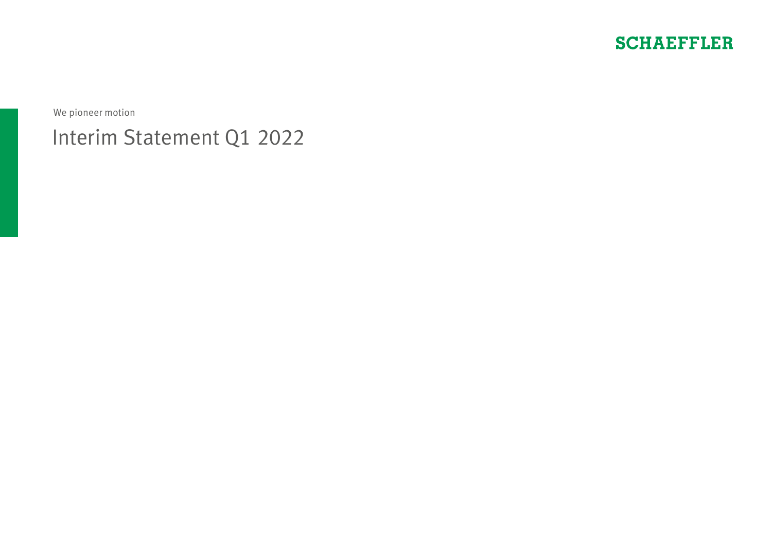

We pioneer motion

# Interim Statement Q1 2022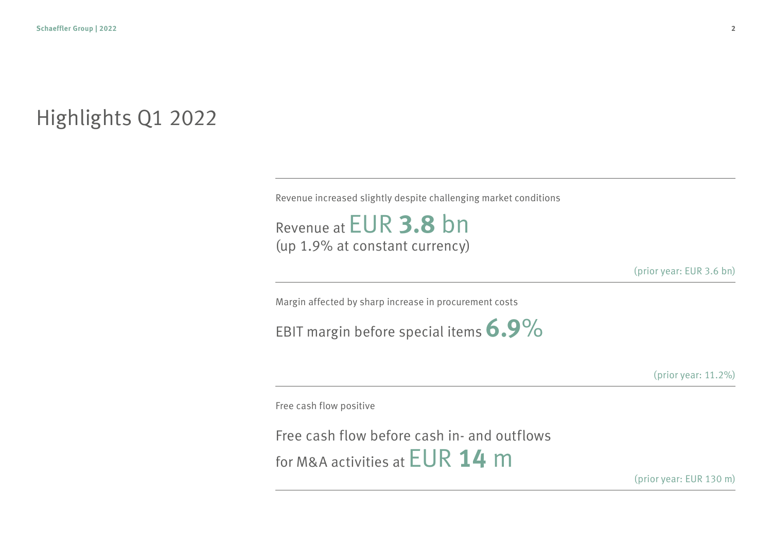## Highlights Q1 2022

Revenue increased slightly despite challenging market conditions

Revenue at EUR **3.8** bn (up 1.9% at constant currency)

(prior year: EUR 3.6 bn)

Margin affected by sharp increase in procurement costs

EBIT margin before special items **6.9**%

(prior year: 11.2%)

Free cash flow positive

Free cash flow before cash in- and outflows for M&A activities at EUR **14** m

(prior year: EUR 130 m)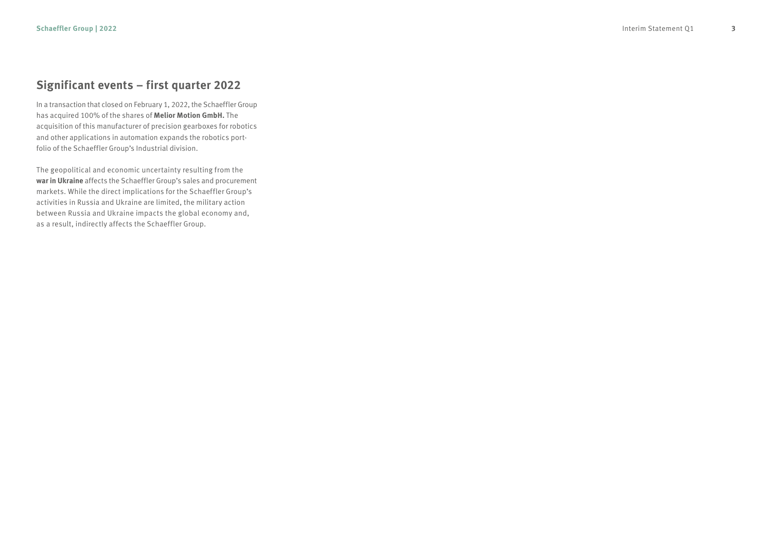### **Significant events – first quarter 2022**

In a transaction that closed on February 1, 2022, the Schaeffler Group has acquired 100% of the shares of **Melior Motion GmbH.** The acquisition of this manufacturer of precision gearboxes for robotics and other applications in automation expands the robotics port folio of the Schaeffler Group's Industrial division.

The geopolitical and economic uncertainty resulting from the **war in Ukraine** affects the Schaeffler Group's sales and procurement markets. While the direct implications for the Schaeffler Group's activities in Russia and Ukraine are limited, the military action between Russia and Ukraine impacts the global economy and, as a result, indirectly affects the Schaeffler Group.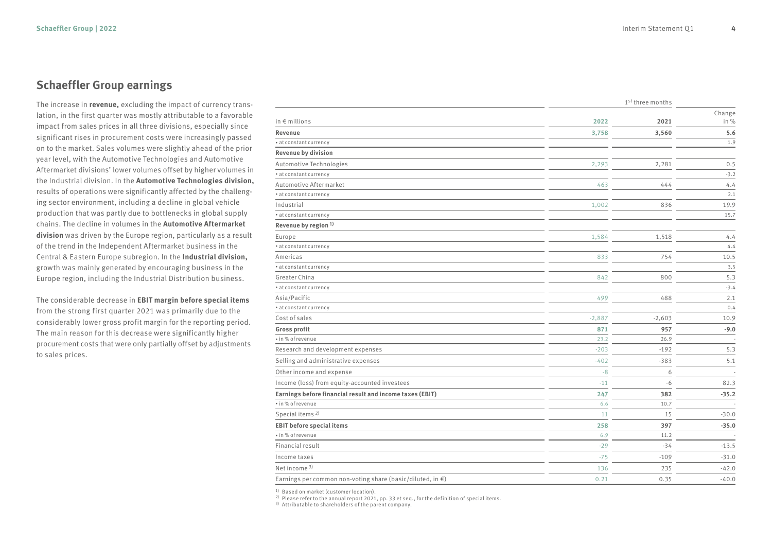#### **Schaeffler Group earnings**

The increase in **revenue,** excluding the impact of currency translation, in the first quarter was mostly attributable to a favorable impact from sales prices in all three divisions, especially since significant rises in procurement costs were increasingly passed on to the market. Sales volumes were slightly ahead of the prior year level, with the Automotive Technologies and Automotive Aftermarket divisions' lower volumes offset by higher volumes in the Industrial division. In the **Automotive Technologies division,** results of operations were significantly affected by the challenging sector environment, including a decline in global vehicle production that was partly due to bottlenecks in global supply chains. The decline in volumes in the **Automotive Aftermarket division** was driven by the Europe region, particularly as a result of the trend in the Independent Aftermarket business in the Central & Eastern Europe subregion. In the **Industrial division,** growth was mainly generated by encouraging business in the Europe region, including the Industrial Distribution business.

The considerable decrease in **EBIT margin before special items** from the strong first quarter 2021 was primarily due to the considerably lower gross profit margin for the reporting period. The main reason for this decrease were significantly higher procurement costs that were only partially offset by adjustments to sales prices.

|                                                                      | 1st three months |          |         |
|----------------------------------------------------------------------|------------------|----------|---------|
|                                                                      |                  |          | Change  |
| in $\epsilon$ millions                                               | 2022             | 2021     | in %    |
| Revenue                                                              | 3,758            | 3,560    | 5.6     |
| * at constant currency                                               |                  |          | 1.9     |
| Revenue by division                                                  |                  |          |         |
| Automotive Technologies                                              | 2,293            | 2,281    | 0.5     |
| • at constant currency                                               |                  |          | $-3.2$  |
| Automotive Aftermarket                                               | 463              | 444      | 4.4     |
| * at constant currency                                               |                  |          | 2.1     |
| Industrial                                                           | 1,002            | 836      | 19.9    |
| • at constant currency                                               |                  |          | 15.7    |
| Revenue by region <sup>1)</sup>                                      |                  |          |         |
| Europe                                                               | 1,584            | 1,518    | 4.4     |
| * at constant currency                                               |                  |          | 4.4     |
| Americas                                                             | 833              | 754      | 10.5    |
| · at constant currency                                               |                  |          | 3.5     |
| Greater China                                                        | 842              | 800      | 5.3     |
| • at constant currency                                               |                  |          | $-3.4$  |
| Asia/Pacific                                                         | 499              | 488      | 2.1     |
| • at constant currency                                               |                  |          | 0.4     |
| Cost of sales                                                        | $-2,887$         | $-2,603$ | 10.9    |
| <b>Gross profit</b>                                                  | 871              | 957      | $-9.0$  |
| • in % of revenue                                                    | 23.2             | 26.9     |         |
| Research and development expenses                                    | $-203$           | $-192$   | 5.3     |
| Selling and administrative expenses                                  | $-402$           | $-383$   | 5.1     |
| Other income and expense                                             | $-8$             | 6        |         |
| Income (loss) from equity-accounted investees                        | $-11$            | $-6$     | 82.3    |
| Earnings before financial result and income taxes (EBIT)             | 247              | 382      | $-35.2$ |
| • in % of revenue                                                    | 6.6              | 10.7     |         |
| Special items <sup>2)</sup>                                          | 11               | 15       | $-30.0$ |
| <b>EBIT before special items</b>                                     | 258              | 397      | $-35.0$ |
| • in % of revenue                                                    | 6.9              | 11.2     |         |
| Financial result                                                     | $-29$            | $-34$    | $-13.5$ |
| Income taxes                                                         | $-75$            | $-109$   | $-31.0$ |
| Net income <sup>3)</sup>                                             | 136              | 235      | $-42.0$ |
| Earnings per common non-voting share (basic/diluted, in $\epsilon$ ) | 0.21             | 0.35     | $-40.0$ |

1) Based on market (customer location).<br>
2) Please refer to the annual report 2021, pp. 33 et seq., for the definition of special items.<br>
3) Attributable to shareholders of the parent company.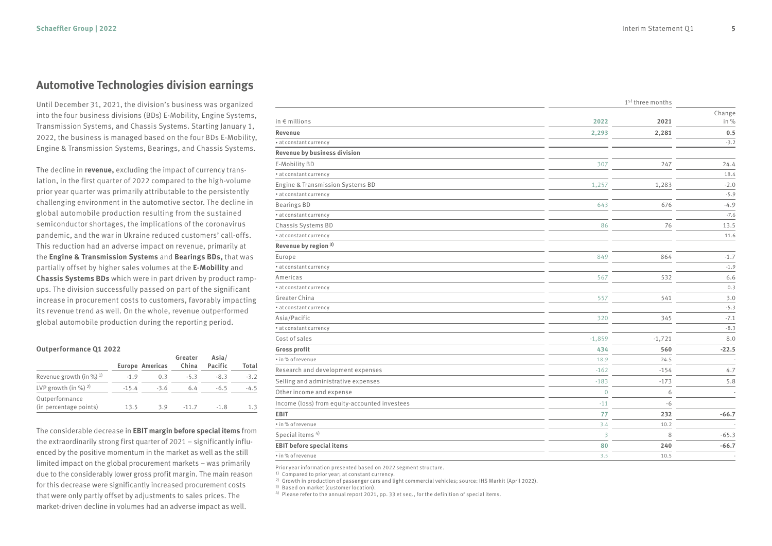#### **Automotive Technologies division earnings**

Until December 31, 2021, the division's business was organized into the four business divisions (BDs) E-Mobility, Engine Systems, Transmission Systems, and Chassis Systems. Starting January 1, 2022, the business is managed based on the four BDs E-Mobility, Engine & Transmission Systems, Bearings, and Chassis Systems.

The decline in **revenue,** excluding the impact of currency translation, in the first quarter of 2022 compared to the high-volume prior year quarter was primarily attributable to the persistently challenging environment in the automotive sector. The decline in global automobile production resulting from the sustained semiconductor shortages, the implications of the coronavirus pandemic, and the war in Ukraine reduced customers' call-offs. This reduction had an adverse impact on revenue, primarily at the **Engine & Transmission Systems** and **Bearings BDs,** that was partially offset by higher sales volumes at the **E-Mobility** and **Chassis Systems BDs** which were in part driven by product rampups. The division successfully passed on part of the significant increase in procurement costs to customers, favorably impacting its revenue trend as well. On the whole, revenue outperformed global automobile production during the reporting period.

#### **Outperformance Q1 2022**

|                                          |         | <b>Europe Americas</b> | Greater<br>China | Asia/<br>Pacific | Total  |
|------------------------------------------|---------|------------------------|------------------|------------------|--------|
| Revenue growth (in %) $^{1}$ )           | $-1.9$  | 0.3                    | $-5.3$           | $-8.3$           | $-3.2$ |
| LVP growth (in %) $^{2}$ )               | $-15.4$ | $-3.6$                 | 6.4              | $-6.5$           | $-4.5$ |
| Outperformance<br>(in percentage points) | 13.5    | 3.9                    | $-11.7$          | $-1.8$           | 1.3    |

The considerable decrease in **EBIT margin before special items** from the extraordinarily strong first quarter of 2021 – significantly influenced by the positive momentum in the market as well as the still limited impact on the global procurement markets – was primarily due to the considerably lower gross profit margin. The main reason for this decrease were significantly increased procurement costs that were only partly offset by adjustments to sales prices. The market-driven decline in volumes had an adverse impact as well.

|                                               |                         | 1 <sup>st</sup> three months |                |  |
|-----------------------------------------------|-------------------------|------------------------------|----------------|--|
| in $\epsilon$ millions                        | 2022                    | 2021                         | Change<br>in % |  |
|                                               |                         |                              |                |  |
| Revenue                                       | 2,293                   | 2,281                        | 0.5            |  |
| * at constant currency                        |                         |                              | $-3.2$         |  |
| Revenue by business division                  |                         |                              |                |  |
| E-Mobility BD                                 | 307                     | 247                          | 24.4           |  |
| • at constant currency                        |                         |                              | 18.4           |  |
| Engine & Transmission Systems BD              | 1,257                   | 1,283                        | $-2.0$         |  |
| * at constant currency                        |                         |                              | $-5.9$         |  |
| <b>Bearings BD</b>                            | 643                     | 676                          | $-4.9$         |  |
| · at constant currency                        |                         |                              | $-7.6$         |  |
| Chassis Systems BD                            | 86                      | 76                           | 13.5           |  |
| · at constant currency                        |                         |                              | 11.6           |  |
| Revenue by region 3)                          |                         |                              |                |  |
| Europe                                        | 849                     | 864                          | $-1.7$         |  |
| · at constant currency                        |                         |                              | $-1.9$         |  |
| Americas                                      | 567                     | 532                          | 6.6            |  |
| * at constant currency                        |                         |                              | 0.3            |  |
| Greater China                                 | 557                     | 541                          | 3.0            |  |
| · at constant currency                        |                         |                              | $-5.3$         |  |
| Asia/Pacific                                  | 320                     | 345                          | $-7.1$         |  |
| · at constant currency                        |                         |                              | $-8.3$         |  |
| Cost of sales                                 | $-1,859$                | $-1,721$                     | 8.0            |  |
| <b>Gross profit</b>                           | 434                     | 560                          | $-22.5$        |  |
| · in % of revenue                             | 18.9                    | 24.5                         |                |  |
| Research and development expenses             | $-162$                  | $-154$                       | 4.7            |  |
| Selling and administrative expenses           | $-183$                  | $-173$                       | 5.8            |  |
| Other income and expense                      | $\overline{0}$          | 6                            |                |  |
| Income (loss) from equity-accounted investees | $-11$                   | $-6$                         |                |  |
| <b>EBIT</b>                                   | 77                      | 232                          | $-66.7$        |  |
| · in % of revenue                             | 3.4                     | 10.2                         |                |  |
| Special items <sup>4)</sup>                   | $\overline{\mathbf{3}}$ | 8                            | $-65.3$        |  |
| <b>EBIT before special items</b>              | 80                      | 240                          | $-66.7$        |  |
| · in % of revenue                             | 3.5                     | 10.5                         |                |  |

Prior year information presented based on 2022 segment structure.<br><sup>1)</sup> Compared to prior year; at constant currency.

<sup>2)</sup> Growth in production of passenger cars and light commercial vehicles; source: IHS Markit (April 2022).<br><sup>3)</sup> Based on market (customer location).<br><sup>4)</sup> Please refer to the annual report 2021, pp. 33 et seq., for the de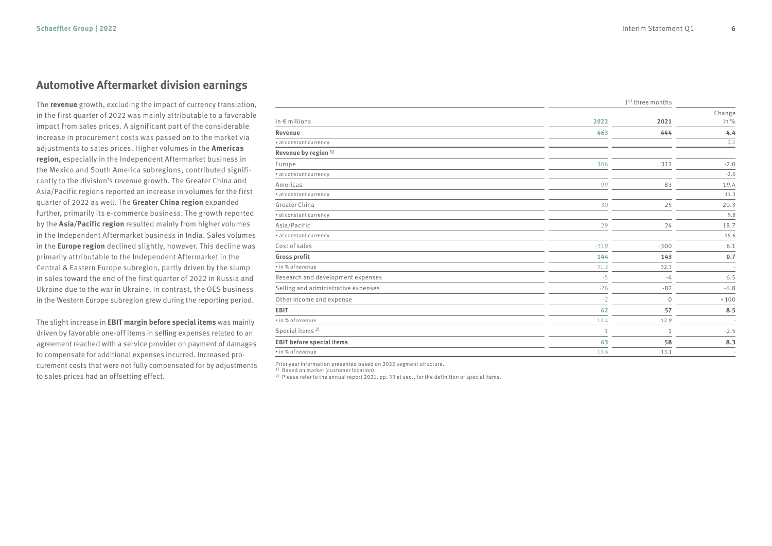#### **Automotive Aftermarket division earnings**

The **revenue** growth, excluding the impact of currency translation, in the first quarter of 2022 was mainly attributable to a favorable impact from sales prices. A significant part of the considerable increase in procurement costs was passed on to the market via adjustments to sales prices. Higher volumes in the **Americas region,** especially in the Independent Aftermarket business in the Mexico and South America subregions, contributed significantly to the division's revenue growth. The Greater China and Asia/Pacific regions reported an increase in volumes for the first quarter of 2022 as well. The **Greater China region** expanded further, primarily its e-commerce business. The growth reported by the **Asia/Pacific region** resulted mainly from higher volumes in the Independent Aftermarket business in India. Sales volumes in the **Europe region** declined slightly, however. This decline was primarily attributable to the Independent Aftermarket in the Central & Eastern Europe subregion, partly driven by the slump in sales toward the end of the first quarter of 2022 in Russia and Ukraine due to the war in Ukraine. In contrast, the OES business in the Western Europe subregion grew during the reporting period.

The slight increase in **EBIT margin before special items** was mainly driven by favorable one-off items in selling expenses related to an agreement reached with a service provider on payment of damages to compensate for additional expenses incurred. Increased procurement costs that were not fully compensated for by adjustments to sales prices had an offsetting effect.

|                                     |        | 1st three months |        |
|-------------------------------------|--------|------------------|--------|
|                                     |        |                  | Change |
| in $\epsilon$ millions              | 2022   | 2021             | in %   |
| Revenue                             | 463    | 444              | 4.4    |
| * at constant currency              |        |                  | 2.1    |
| Revenue by region <sup>1)</sup>     |        |                  |        |
| Europe                              | 306    | 312              | $-2.0$ |
| · at constant currency              |        |                  | $-2.0$ |
| Americas                            | 99     | 83               | 19.4   |
| * at constant currency              |        |                  | 11.3   |
| Greater China                       | 30     | 25               | 20.3   |
| · at constant currency              |        |                  | 9.8    |
| Asia/Pacific                        | 29     | 24               | 18.7   |
| · at constant currency              |        |                  | 15.6   |
| Cost of sales                       | $-319$ | $-300$           | 6.1    |
| Gross profit                        | 144    | 143              | 0.7    |
| · in% of revenue                    | 31.2   | 32.3             |        |
| Research and development expenses   | $-5$   | $-4$             | 6.5    |
| Selling and administrative expenses | $-76$  | $-82$            | $-6.8$ |
| Other income and expense            | $-2$   | $\mathbf 0$      | >100   |
| <b>EBIT</b>                         | 62     | 57               | 8.5    |
| · in% of revenue                    | 13.4   | 12.9             |        |
| Special items <sup>2)</sup>         |        | $\mathbf{1}$     | $-2.5$ |
| <b>EBIT before special items</b>    | 63     | 58               | 8.3    |
| · in% of revenue                    | 13.6   | 13.1             |        |

Prior year information presented based on 2022 segment structure.

1) Based on market (customer location).

<sup>2)</sup> Please refer to the annual report 2021, pp. 33 et seq., for the definition of special items.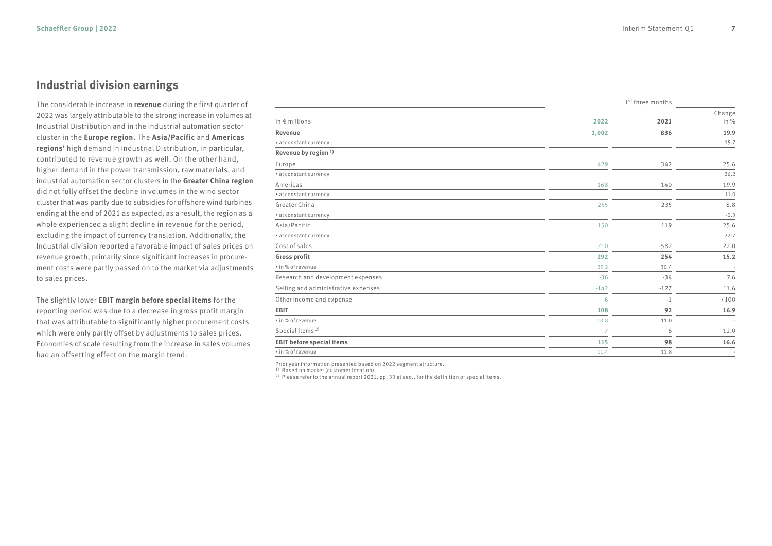#### **Industrial division earnings**

The considerable increase in **revenue** during the first quarter of 2022 was largely attributable to the strong increase in volumes at Industrial Distribution and in the industrial automation sector cluster in the **Europe region.** The **Asia/Pacific** and **Americas regions'** high demand in Industrial Distribution, in particular, contributed to revenue growth as well. On the other hand, higher demand in the power transmission, raw materials, and industrial automation sector clusters in the **Greater China region** did not fully offset the decline in volumes in the wind sector cluster that was partly due to subsidies for offshore wind turbines ending at the end of 2021 as expected; as a result, the region as a whole experienced a slight decline in revenue for the period, excluding the impact of currency translation. Additionally, the Industrial division reported a favorable impact of sales prices on revenue growth, primarily since significant increases in procurement costs were partly passed on to the market via adjustments to sales prices.

The slightly lower **EBIT margin before special items** for the reporting period was due to a decrease in gross profit margin that was attributable to significantly higher procurement costs which were only partly offset by adjustments to sales prices. Economies of scale resulting from the increase in sales volumes had an offsetting effect on the margin trend.

|                                     |                | 1st three months |        |
|-------------------------------------|----------------|------------------|--------|
|                                     |                |                  | Change |
| in $\epsilon$ millions              | 2022           | 2021             | in %   |
| Revenue                             | 1,002          | 836              | 19.9   |
| * at constant currency              |                |                  | 15.7   |
| Revenue by region <sup>1)</sup>     |                |                  |        |
| Europe                              | 429            | 342              | 25.6   |
| · at constant currency              |                |                  | 26.2   |
| Americas                            | 168            | 140              | 19.9   |
| * at constant currency              |                |                  | 11.0   |
| Greater China                       | 255            | 235              | 8.8    |
| · at constant currency              |                |                  | $-0.3$ |
| Asia/Pacific                        | 150            | 119              | 25.6   |
| · at constant currency              |                |                  | 22.7   |
| Cost of sales                       | $-710$         | $-582$           | 22.0   |
| Gross profit                        | 292            | 254              | 15.2   |
| · in% of revenue                    | 29.2           | 30.4             |        |
| Research and development expenses   | $-36$          | $-34$            | 7.6    |
| Selling and administrative expenses | $-142$         | $-127$           | 11.6   |
| Other income and expense            | $-6$           | $-1$             | >100   |
| <b>EBIT</b>                         | 108            | 92               | 16.9   |
| · in% of revenue                    | 10.8           | 11.0             |        |
| Special items <sup>2)</sup>         | $\overline{7}$ | 6                | 12.0   |
| <b>EBIT before special items</b>    | 115            | 98               | 16.6   |
| · in % of revenue                   | 11.4           | 11.8             |        |

Prior year information presented based on 2022 segment structure.

1) Based on market (customer location).

2) Please refer to the annual report 2021, pp. 33 et seq., for the definition of special items.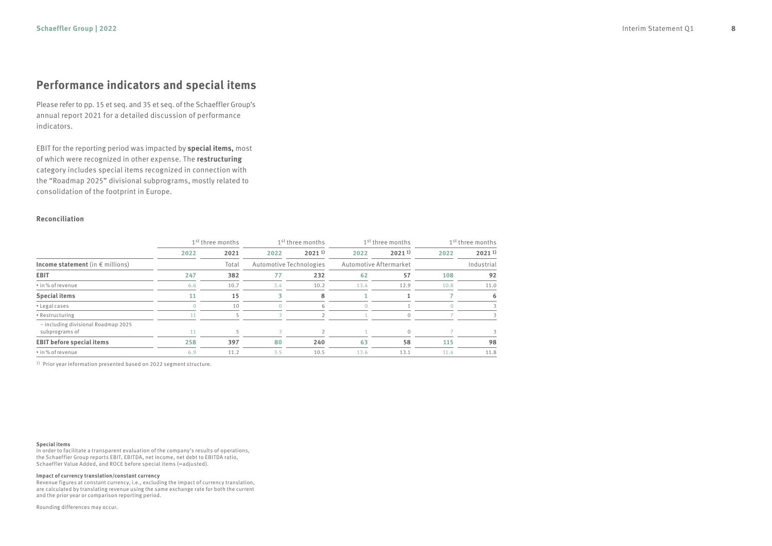### **Performance indicators and special items**

Please refer to pp. 15 et seq. and 35 et seq. of the Schaeffler Group's annual report 2021 for a detailed discussion of performance indicators.

EBIT for the reporting period was impacted by **special items,** most of which were recognized in other expense. The **restructuring** category includes special items recognized in connection with the "Roadmap 2025" divisional subprograms, mostly related to consolidation of the footprint in Europe.

#### **Reconciliation**

|                                                       | 1 <sup>st</sup> three months |       | 1 <sup>st</sup> three months |             |                        | 1 <sup>st</sup> three months |      | 1 <sup>st</sup> three months |
|-------------------------------------------------------|------------------------------|-------|------------------------------|-------------|------------------------|------------------------------|------|------------------------------|
|                                                       | 2022                         | 2021  | 2022                         | $2021^{11}$ | 2022                   | $2021^{11}$                  | 2022 | $2021^{11}$                  |
| Income statement (in $\epsilon$ millions)             |                              | Total | Automotive Technologies      |             | Automotive Aftermarket |                              |      | Industrial                   |
| <b>EBIT</b>                                           | 247                          | 382   | 77                           | 232         | 62                     | 57                           | 108  | 92                           |
| • in % of revenue                                     | 6.6                          | 10.7  | 3.4                          | 10.2        | 13.4                   | 12.9                         | 10.8 | 11.0                         |
| <b>Special items</b>                                  | 11                           | 15    |                              | 8           |                        |                              |      | 6                            |
| • Legal cases                                         |                              | 10    |                              | 6           |                        |                              |      |                              |
| • Restructuring                                       | 11                           |       |                              |             |                        | $\Omega$                     |      | 3                            |
| - including divisional Roadmap 2025<br>subprograms of |                              |       |                              |             |                        |                              |      |                              |
| <b>EBIT before special items</b>                      | 258                          | 397   | 80                           | 240         | 63                     | 58                           | 115  | 98                           |
| • in % of revenue                                     | 6.9                          | 11.2  | 3.5                          | 10.5        | 13.6                   | 13.1                         | 11.4 | 11.8                         |

<sup>1)</sup> Prior year information presented based on 2022 segment structure.

#### **Special items**

In order to facilitate a transparent evaluation of the company's results of operations, the Schaeffler Group reports EBIT, EBITDA, net income, net debt to EBITDA ratio, Schaeffler Value Added, and ROCE before special items (=adjusted).

#### **Impact of currency translation/constant currency**

Revenue figures at constant currency, i.e., excluding the impact of currency translation, are calculated by translating revenue using the same exchange rate for both the current and the prior year or comparison reporting period.

Rounding differences may occur.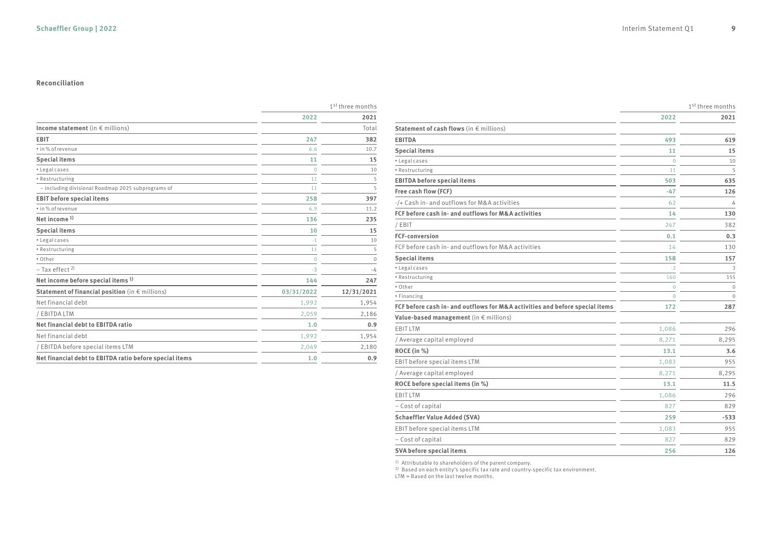#### **Reconciliation**

|                                                          | 1 <sup>st</sup> three months |            |
|----------------------------------------------------------|------------------------------|------------|
|                                                          | 2022                         | 2021       |
| Income statement (in $\epsilon$ millions)                |                              | Total      |
| <b>EBIT</b>                                              | 247                          | 382        |
| • in % of revenue                                        | 6.6                          | 10.7       |
| <b>Special items</b>                                     | 11                           | 15         |
| · Legal cases                                            | $\Omega$                     | 10         |
| • Restructuring                                          | 11                           | 5          |
| - including divisional Roadmap 2025 subprograms of       | 11                           | 5          |
| <b>EBIT before special items</b>                         | 258                          | 397        |
| · in % of revenue                                        | 6.9                          | 11.2       |
| Net income $1$ )                                         | 136                          | 235        |
| <b>Special items</b>                                     | 10                           | 15         |
| · Legal cases                                            | $-1$                         | 10         |
| • Restructuring                                          | 11                           | 5          |
| • Other                                                  | $\mathbf{0}$                 | $\Omega$   |
| $-$ Tax effect <sup>2)</sup>                             | $-3$                         | $-4$       |
| Net income before special items <sup>1)</sup>            | 144                          | 247        |
| Statement of financial position (in $\epsilon$ millions) | 03/31/2022                   | 12/31/2021 |
| Net financial debt                                       | 1,992                        | 1,954      |
| / EBITDA LTM                                             | 2,059                        | 2,186      |
| Net financial debt to EBITDA ratio                       | 1.0                          | 0.9        |
| Net financial debt                                       | 1,992                        | 1,954      |
| / EBITDA before special items LTM                        | 2,049                        | 2,180      |
| Net financial debt to EBITDA ratio before special items  | 1.0                          | 0.9        |

|                                                                              |                | 1 <sup>st</sup> three months |
|------------------------------------------------------------------------------|----------------|------------------------------|
|                                                                              | 2022           | 2021                         |
| Statement of cash flows (in $\epsilon$ millions)                             |                |                              |
| <b>EBITDA</b>                                                                | 493            | 619                          |
| <b>Special items</b>                                                         | 11             | 15                           |
| • Legal cases                                                                | $\overline{0}$ | 10                           |
| • Restructuring                                                              | 11             | 5                            |
| <b>EBITDA</b> before special items                                           | 503            | 635                          |
| Free cash flow (FCF)                                                         | $-47$          | 126                          |
| -/+ Cash in- and outflows for M&A activities                                 | 62             | 4                            |
| FCF before cash in- and outflows for M&A activities                          | 14             | 130                          |
| / EBIT                                                                       | 247            | 382                          |
| <b>FCF-conversion</b>                                                        | 0.1            | 0.3                          |
| FCF before cash in- and outflows for M&A activities                          | 14             | 130                          |
| <b>Special items</b>                                                         | 158            | 157                          |
| • Legal cases                                                                | $-2$           | 3                            |
| • Restructuring                                                              | 160            | 155                          |
| • Other                                                                      | $\Omega$       | $\overline{0}$               |
| • Financing                                                                  | $\overline{0}$ | $\overline{0}$               |
| FCF before cash in- and outflows for M&A activities and before special items | 172            | 287                          |
| Value-based management (in $\epsilon$ millions)                              |                |                              |
| EBIT LTM                                                                     | 1,086          | 296                          |
| / Average capital employed                                                   | 8,271          | 8,295                        |
| ROCE (in %)                                                                  | 13.1           | 3.6                          |
| EBIT before special items LTM                                                | 1,083          | 955                          |
| / Average capital employed                                                   | 8,271          | 8,295                        |
| ROCE before special items (in %)                                             | 13.1           | 11.5                         |
| EBIT LTM                                                                     | 1,086          | 296                          |
| - Cost of capital                                                            | 827            | 829                          |
| <b>Schaeffler Value Added (SVA)</b>                                          | 259            | $-533$                       |
| EBIT before special items LTM                                                | 1,083          | 955                          |
| - Cost of capital                                                            | 827            | 829                          |
| SVA before special items                                                     | 256            | 126                          |

<sup>1)</sup> Attributable to shareholders of the parent company.<br><sup>2)</sup> Based on each entity's specific tax rate and country-specific tax environment.<br>LTM = Based on the last twelve months.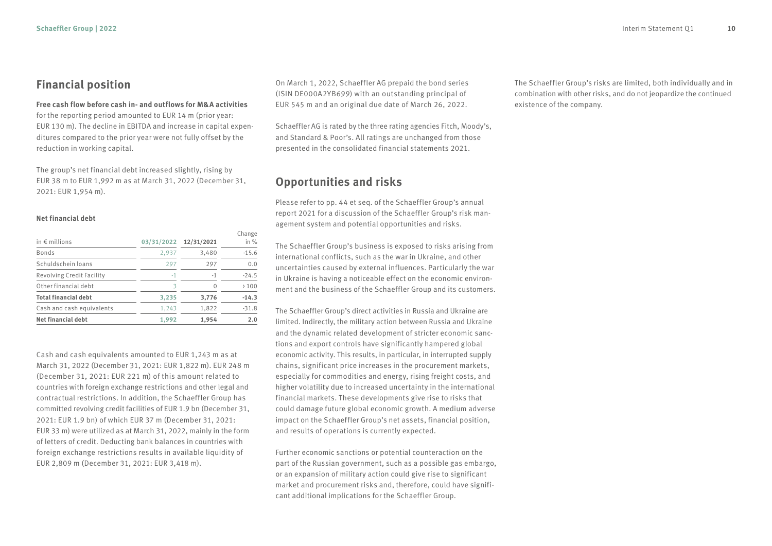#### **Financial position**

**Free cash flow before cash in- and outflows for M&A activities**

for the reporting period amounted to EUR 14 m (prior year: EUR 130 m). The decline in EBITDA and increase in capital expenditures compared to the prior year were not fully offset by the reduction in working capital.

The group's net financial debt increased slightly, rising by EUR 38 m to EUR 1,992 m as at March 31, 2022 (December 31, 2021: EUR 1,954 m).

#### **Net financial debt**

| in $\epsilon$ millions      | 03/31/2022 | 12/31/2021 | Change<br>in $%$ |
|-----------------------------|------------|------------|------------------|
| <b>Bonds</b>                | 2,937      | 3,480      | $-15.6$          |
| Schuldschein loans          | 297        | 297        | 0.0              |
| Revolving Credit Facility   | $-1$       | $-1$       | $-24.5$          |
| Other financial debt        | R          | 0          | >100             |
| <b>Total financial debt</b> | 3,235      | 3,776      | $-14.3$          |
| Cash and cash equivalents   | 1.243      | 1,822      | $-31.8$          |
| <b>Net financial debt</b>   | 1,992      | 1,954      | 2.0              |

Cash and cash equivalents amounted to EUR 1,243 m as at March 31, 2022 (December 31, 2021: EUR 1,822 m). EUR 248 m (December 31, 2021: EUR 221 m) of this amount related to countries with foreign exchange restrictions and other legal and contractual restrictions. In addition, the Schaeffler Group has committed revolving credit facilities of EUR 1.9 bn (December 31, 2021: EUR 1.9 bn) of which EUR 37 m (December 31, 2021: EUR 33 m) were utilized as at March 31, 2022, mainly in the form of letters of credit. Deducting bank balances in countries with foreign exchange restrictions results in available liquidity of EUR 2,809 m (December 31, 2021: EUR 3,418 m).

On March 1, 2022, Schaeffler AG prepaid the bond series (ISIN DE000A2YB699) with an outstanding principal of EUR 545 m and an original due date of March 26, 2022.

Schaeffler AG is rated by the three rating agencies Fitch, Moody's, and Standard & Poor's. All ratings are unchanged from those presented in the consolidated financial statements 2021.

#### **Opportunities and risks**

Please refer to pp. 44 et seq. of the Schaeffler Group's annual report 2021 for a discussion of the Schaeffler Group's risk management system and potential opportunities and risks.

The Schaeffler Group's business is exposed to risks arising from international conflicts, such as the war in Ukraine, and other uncertainties caused by external influences. Particularly the war in Ukraine is having a noticeable effect on the economic environment and the business of the Schaeffler Group and its customers.

The Schaeffler Group's direct activities in Russia and Ukraine are limited. Indirectly, the military action between Russia and Ukraine and the dynamic related development of stricter economic sanctions and export controls have significantly hampered global economic activity. This results, in particular, in interrupted supply chains, significant price increases in the procurement markets, especially for commodities and energy, rising freight costs, and higher volatility due to increased uncertainty in the international financial markets. These developments give rise to risks that could damage future global economic growth. A medium adverse impact on the Schaeffler Group's net assets, financial position, and results of operations is currently expected.

Further economic sanctions or potential counteraction on the part of the Russian government, such as a possible gas embargo, or an expansion of military action could give rise to significant market and procurement risks and, therefore, could have significant additional implications for the Schaeffler Group.

The Schaeffler Group's risks are limited, both individually and in combination with other risks, and do not jeopardize the continued existence of the company.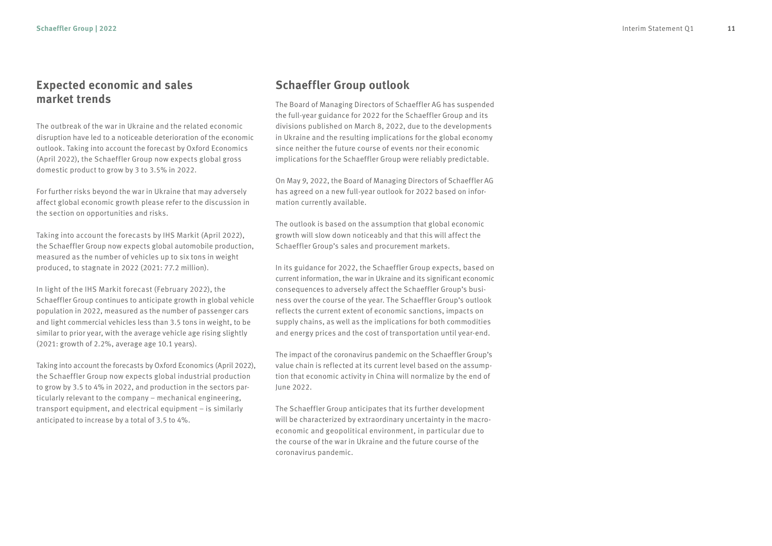#### **Expected economic and sales market trends**

The outbreak of the war in Ukraine and the related economic disruption have led to a noticeable deterioration of the economic outlook. Taking into account the forecast by Oxford Economics (April 2022), the Schaeffler Group now expects global gross domestic product to grow by 3 to 3.5% in 2022.

For further risks beyond the war in Ukraine that may adversely affect global economic growth please refer to the discussion in the section on opportunities and risks.

Taking into account the forecasts by IHS Markit (April 2022), the Schaeffler Group now expects global automobile production, measured as the number of vehicles up to six tons in weight produced, to stagnate in 2022 (2021: 77.2 million).

In light of the IHS Markit forecast (February 2022), the Schaeffler Group continues to anticipate growth in global vehicle population in 2022, measured as the number of passenger cars and light commercial vehicles less than 3.5 tons in weight, to be similar to prior year, with the average vehicle age rising slightly (2021: growth of 2.2%, average age 10.1 years).

Taking into account the forecasts by Oxford Economics (April 2022), the Schaeffler Group now expects global industrial production to grow by 3.5 to 4% in 2022, and production in the sectors particularly relevant to the company – mechanical engineering, transport equipment, and electrical equipment – is similarly anticipated to increase by a total of 3.5 to 4%.

#### **Schaeffler Group outlook**

The Board of Managing Directors of Schaeffler AG has suspended the full-year guidance for 2022 for the Schaeffler Group and its divisions published on March 8, 2022, due to the developments in Ukraine and the resulting implications for the global economy since neither the future course of events nor their economic implications for the Schaeffler Group were reliably predictable.

On May 9, 2022, the Board of Managing Directors of Schaeffler AG has agreed on a new full-year outlook for 2022 based on information currently available.

The outlook is based on the assumption that global economic growth will slow down noticeably and that this will affect the Schaeffler Group's sales and procurement markets.

In its guidance for 2022, the Schaeffler Group expects, based on current information, the war in Ukraine and its significant economic consequences to adversely affect the Schaeffler Group's business over the course of the year. The Schaeffler Group's outlook reflects the current extent of economic sanctions, impacts on supply chains, as well as the implications for both commodities and energy prices and the cost of transportation until year-end.

The impact of the coronavirus pandemic on the Schaeffler Group's value chain is reflected at its current level based on the assumption that economic activity in China will normalize by the end of June 2022.

The Schaeffler Group anticipates that its further development will be characterized by extraordinary uncertainty in the macroeconomic and geopolitical environment, in particular due to the course of the war in Ukraine and the future course of the coronavirus pandemic.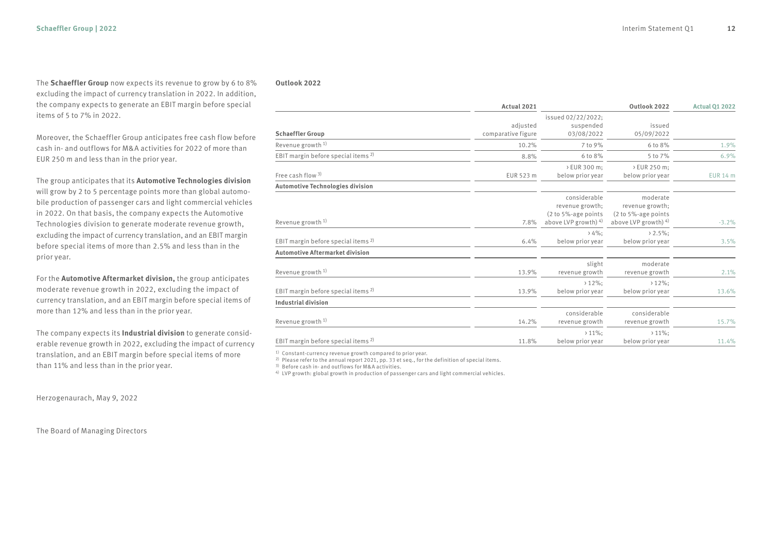The **Schaeffler Group** now expects its revenue to grow by 6 to 8% excluding the impact of currency translation in 2022. In addition, the company expects to generate an EBIT margin before special items of 5 to 7% in 2022.

Moreover, the Schaeffler Group anticipates free cash flow before cash in- and outflows for M&A activities for 2022 of more than EUR 250 m and less than in the prior year.

The group anticipates that its **Automotive Technologies division** will grow by 2 to 5 percentage points more than global automobile production of passenger cars and light commercial vehicles in 2022. On that basis, the company expects the Automotive Technologies division to generate moderate revenue growth, excluding the impact of currency translation, and an EBIT margin before special items of more than 2.5% and less than in the prior year.

For the **Automotive Aftermarket division,** the group anticipates moderate revenue growth in 2022, excluding the impact of currency translation, and an EBIT margin before special items of more than 12% and less than in the prior year.

The company expects its **Industrial division** to generate considerable revenue growth in 2022, excluding the impact of currency translation, and an EBIT margin before special items of more than 11% and less than in the prior year.

Herzogenaurach, May 9, 2022

The Board of Managing Directors

#### **Outlook 2022**

|                                                | Actual 2021        |                                                     | Outlook 2022                                   | <b>Actual 01 2022</b> |
|------------------------------------------------|--------------------|-----------------------------------------------------|------------------------------------------------|-----------------------|
|                                                |                    | issued 02/22/2022;                                  |                                                |                       |
|                                                | adjusted           | suspended                                           | issued                                         |                       |
| <b>Schaeffler Group</b>                        | comparative figure | 03/08/2022                                          | 05/09/2022                                     |                       |
| Revenue growth <sup>1)</sup>                   | 10.2%              | 7 to 9%                                             | 6 to 8%                                        | 1.9%                  |
| EBIT margin before special items <sup>2)</sup> | 8.8%               | 6 to 8%                                             | 5 to 7%                                        | 6.9%                  |
|                                                |                    | > EUR 300 m;                                        | > EUR 250 m;                                   |                       |
| Free cash flow 3)                              | EUR 523 m          | below prior year                                    | below prior year                               | <b>EUR 14 m</b>       |
| <b>Automotive Technologies division</b>        |                    |                                                     |                                                |                       |
|                                                |                    | considerable                                        | moderate                                       |                       |
|                                                |                    | revenue growth;                                     | revenue growth;                                |                       |
| Revenue growth <sup>1)</sup>                   | 7.8%               | $(2 to 5% - age points)$<br>above LVP growth) $4$ ) | (2 to 5%-age points<br>above LVP growth) $4$ ) | $-3.2%$               |
|                                                |                    |                                                     |                                                |                       |
|                                                |                    | $>4\%$ :                                            | $2.5\%$ ;                                      |                       |
| EBIT margin before special items <sup>2)</sup> | 6.4%               | below prior year                                    | below prior year                               | 3.5%                  |
| Automotive Aftermarket division                |                    |                                                     |                                                |                       |
|                                                |                    | slight                                              | moderate                                       |                       |
| Revenue growth <sup>1)</sup>                   | 13.9%              | revenue growth                                      | revenue growth                                 | 2.1%                  |
|                                                |                    | $>12\%$ :                                           | $>12\%$ :                                      |                       |
| EBIT margin before special items <sup>2)</sup> | 13.9%              | below prior year                                    | below prior year                               | 13.6%                 |
| <b>Industrial division</b>                     |                    |                                                     |                                                |                       |
|                                                |                    | considerable                                        | considerable                                   |                       |
| Revenue growth <sup>1)</sup>                   | 14.2%              | revenue growth                                      | revenue growth                                 | 15.7%                 |
|                                                |                    | $>11\%$ :                                           | $>11\%$ :                                      |                       |
| EBIT margin before special items <sup>2)</sup> | 11.8%              | below prior year                                    | below prior year                               | 11.4%                 |

1) Constant-currency revenue growth compared to prior year.

2) Please refer to the annual report 2021, pp. 33 et seq., for the definition of special items.

3) Before cash in- and outflows for M&A activities.

4) LVP growth: global growth in production of passenger cars and light commercial vehicles.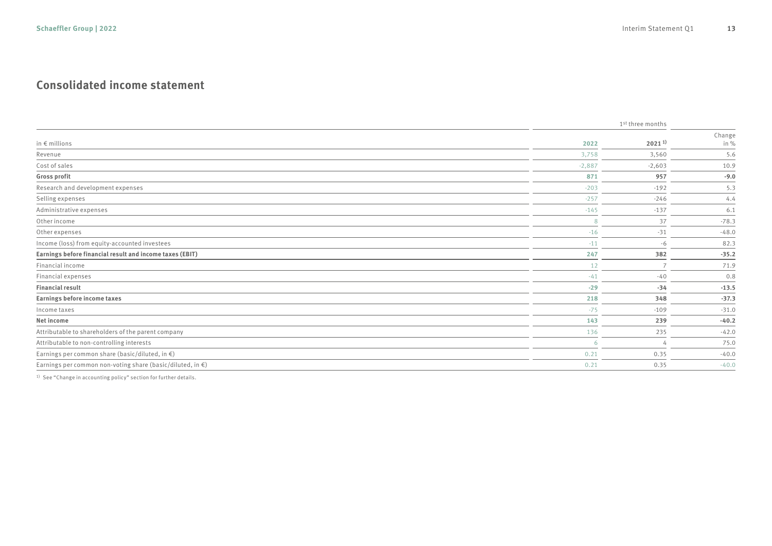### **Consolidated income statement**

|                                                                      |          | 1 <sup>st</sup> three months |                |
|----------------------------------------------------------------------|----------|------------------------------|----------------|
| in $\epsilon$ millions                                               | 2022     | $2021^{1}$                   | Change<br>in % |
| Revenue                                                              | 3,758    | 3,560                        | 5.6            |
| Cost of sales                                                        | $-2,887$ | $-2,603$                     | 10.9           |
| Gross profit                                                         | 871      | 957                          | $-9.0$         |
| Research and development expenses                                    | $-203$   | $-192$                       | 5.3            |
| Selling expenses                                                     | $-257$   | $-246$                       | 4.4            |
| Administrative expenses                                              | $-145$   | $-137$                       | 6.1            |
| Other income                                                         | 8        | 37                           | $-78.3$        |
| Other expenses                                                       | $-16$    | $-31$                        | $-48.0$        |
| Income (loss) from equity-accounted investees                        | $-11$    | $-6$                         | 82.3           |
| Earnings before financial result and income taxes (EBIT)             | 247      | 382                          | $-35.2$        |
| Financial income                                                     | 12       | $\overline{7}$               | 71.9           |
| Financial expenses                                                   | $-41$    | $-40$                        | 0.8            |
| <b>Financial result</b>                                              | $-29$    | $-34$                        | $-13.5$        |
| Earnings before income taxes                                         | 218      | 348                          | $-37.3$        |
| Income taxes                                                         | $-75$    | $-109$                       | $-31.0$        |
| Net income                                                           | 143      | 239                          | $-40.2$        |
| Attributable to shareholders of the parent company                   | 136      | 235                          | $-42.0$        |
| Attributable to non-controlling interests                            | -6       | $\Delta$                     | 75.0           |
| Earnings per common share (basic/diluted, in $\epsilon$ )            | 0.21     | 0.35                         | $-40.0$        |
| Earnings per common non-voting share (basic/diluted, in $\epsilon$ ) | 0.21     | 0.35                         | $-40.0$        |

1) See "Change in accounting policy" section for further details.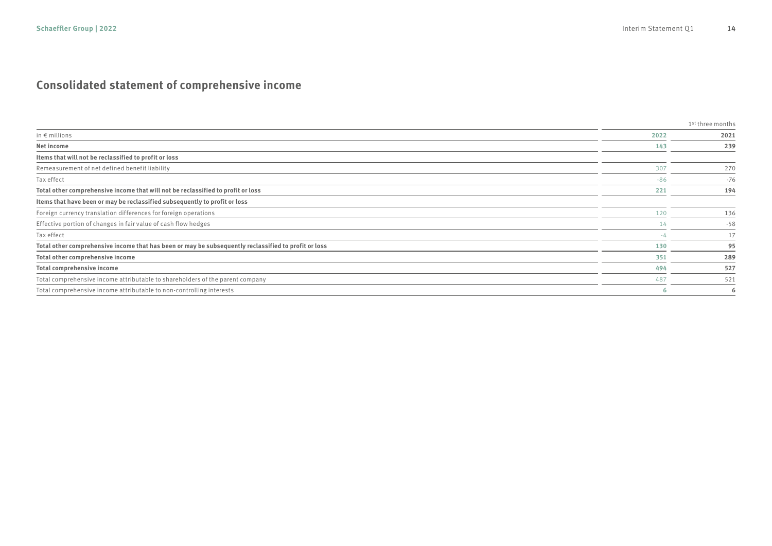### **Consolidated statement of comprehensive income**

|                                                                                                      |       | 1 <sup>st</sup> three months |
|------------------------------------------------------------------------------------------------------|-------|------------------------------|
| in $\epsilon$ millions                                                                               | 2022  | 2021                         |
| Net income                                                                                           | 143   | 239                          |
| Items that will not be reclassified to profit or loss                                                |       |                              |
| Remeasurement of net defined benefit liability                                                       | 307   | 270                          |
| Tax effect                                                                                           | $-86$ | $-76$                        |
| Total other comprehensive income that will not be reclassified to profit or loss                     | 221   | 194                          |
| Items that have been or may be reclassified subsequently to profit or loss                           |       |                              |
| Foreign currency translation differences for foreign operations                                      | 120   | 136                          |
| Effective portion of changes in fair value of cash flow hedges                                       | 14    | $-58$                        |
| Tax effect                                                                                           |       | 17                           |
| Total other comprehensive income that has been or may be subsequently reclassified to profit or loss | 130   | 95                           |
| Total other comprehensive income                                                                     | 351   | 289                          |
| Total comprehensive income                                                                           | 494   | 527                          |
| Total comprehensive income attributable to shareholders of the parent company                        | 487   | 521                          |
| Total comprehensive income attributable to non-controlling interests                                 |       | 6                            |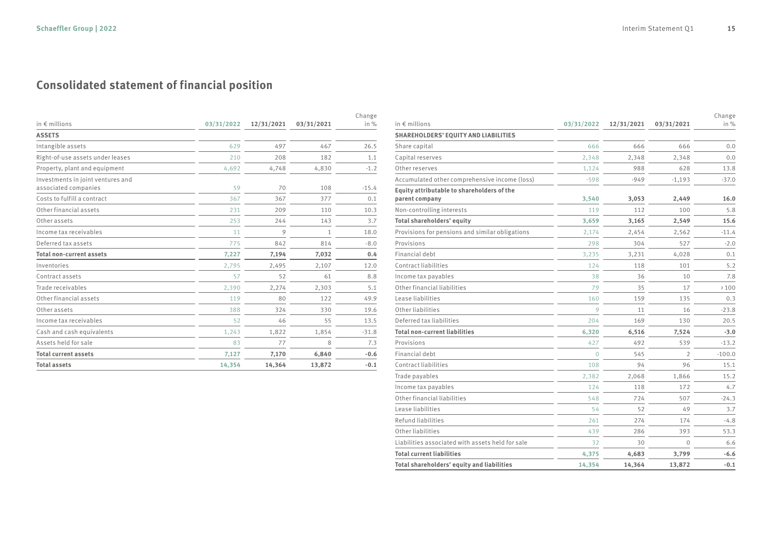### **Consolidated statement of financial position**

| in $\notin$ millions                                      | 03/31/2022 | 12/31/2021 | 03/31/2021 | Change<br>in $%$ |
|-----------------------------------------------------------|------------|------------|------------|------------------|
| <b>ASSETS</b>                                             |            |            |            |                  |
| Intangible assets                                         | 629        | 497        | 467        | 26.5             |
| Right-of-use assets under leases                          | 210        | 208        | 182        | 1.1              |
| Property, plant and equipment                             | 4,692      | 4,748      | 4,830      | $-1.2$           |
| Investments in joint ventures and<br>associated companies | 59         | 70         | 108        | $-15.4$          |
| Costs to fulfill a contract                               | 367        | 367        | 377        | 0.1              |
| Other financial assets                                    | 231        | 209        | 110        | 10.3             |
| Other assets                                              | 253        | 244        | 143        | 3.7              |
| Income tax receivables                                    | 11         | 9          | 1          | 18.0             |
| Deferred tax assets                                       | 775        | 842        | 814        | $-8.0$           |
| <b>Total non-current assets</b>                           | 7,227      | 7,194      | 7,032      | 0.4              |
| Inventories                                               | 2,795      | 2,495      | 2,107      | 12.0             |
| Contract assets                                           | 57         | 52         | 61         | 8.8              |
| Trade receivables                                         | 2,390      | 2,274      | 2,303      | 5.1              |
| Other financial assets                                    | 119        | 80         | 122        | 49.9             |
| Other assets                                              | 388        | 324        | 330        | 19.6             |
| Income tax receivables                                    | 52         | 46         | 55         | 13.5             |
| Cash and cash equivalents                                 | 1,243      | 1,822      | 1,854      | $-31.8$          |
| Assets held for sale                                      | 83         | 77         | 8          | 7.3              |
| <b>Total current assets</b>                               | 7,127      | 7,170      | 6,840      | $-0.6$           |
| <b>Total assets</b>                                       | 14,354     | 14,364     | 13,872     | $-0.1$           |

| in $\notin$ millions                                         | 03/31/2022     | 12/31/2021 | 03/31/2021     | Change<br>in % |
|--------------------------------------------------------------|----------------|------------|----------------|----------------|
| <b>SHAREHOLDERS' EQUITY AND LIABILITIES</b>                  |                |            |                |                |
| Share capital                                                | 666            | 666        | 666            | 0.0            |
| Capital reserves                                             | 2.348          | 2.348      | 2.348          | 0.0            |
| Other reserves                                               | 1,124          | 988        | 628            | 13.8           |
| Accumulated other comprehensive income (loss)                | $-598$         | $-949$     | $-1,193$       | $-37.0$        |
| Equity attributable to shareholders of the<br>parent company | 3,540          | 3,053      | 2,449          | 16.0           |
| Non-controlling interests                                    | 119            | 112        | 100            | 5.8            |
| Total shareholders' equity                                   | 3,659          | 3,165      | 2,549          | 15.6           |
| Provisions for pensions and similar obligations              | 2,174          | 2,454      | 2,562          | $-11.4$        |
| Provisions                                                   | 298            | 304        | 527            | $-2.0$         |
| Financial debt                                               | 3,235          | 3,231      | 4,028          | 0.1            |
| Contract liabilities                                         | 124            | 118        | 101            | 5.2            |
| Income tax payables                                          | 38             | 36         | 10             | 7.8            |
| Other financial liabilities                                  | 79             | 35         | 17             | >100           |
| Lease liabilities                                            | 160            | 159        | 135            | 0.3            |
| Other liabilities                                            | 9              | 11         | 16             | $-23.8$        |
| Deferred tax liabilities                                     | 204            | 169        | 130            | 20.5           |
| <b>Total non-current liabilities</b>                         | 6,320          | 6,516      | 7,524          | $-3.0$         |
| Provisions                                                   | 427            | 492        | 539            | $-13.2$        |
| Financial debt                                               | $\overline{O}$ | 545        | $\overline{2}$ | $-100.0$       |
| Contract liabilities                                         | 108            | 94         | 96             | 15.1           |
| Trade payables                                               | 2,382          | 2,068      | 1,866          | 15.2           |
| Income tax payables                                          | 124            | 118        | 172            | 4.7            |
| Other financial liabilities                                  | 548            | 724        | 507            | $-24.3$        |
| Lease liabilities                                            | 54             | 52         | 49             | 3.7            |
| Refund liabilities                                           | 261            | 274        | 174            | $-4.8$         |
| Other liabilities                                            | 439            | 286        | 393            | 53.3           |
| Liabilities associated with assets held for sale             | 32             | 30         | $\Omega$       | 6.6            |
| <b>Total current liabilities</b>                             | 4,375          | 4,683      | 3,799          | $-6.6$         |
| Total shareholders' equity and liabilities                   | 14,354         | 14,364     | 13,872         | $-0.1$         |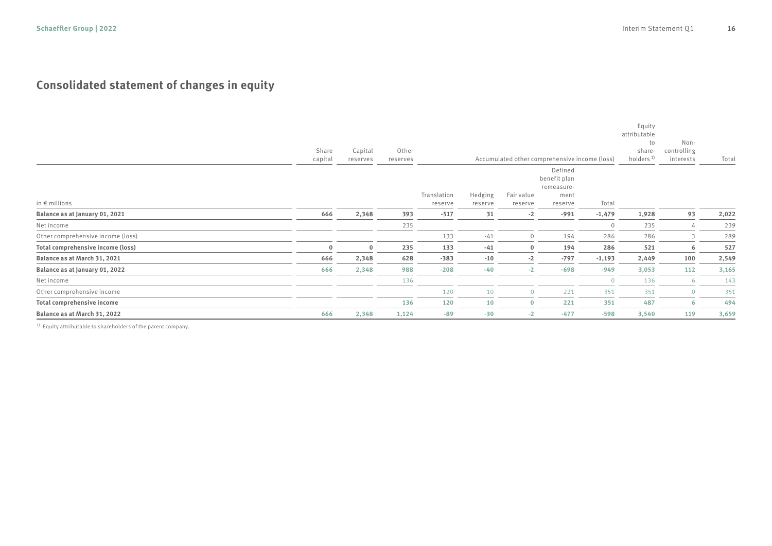### **Consolidated statement of changes in equity**

|                                   | Share<br>capital | Capital<br>reserves | Other<br>reserves |                        |                    |                       | Accumulated other comprehensive income (loss)            |                | Equity<br>attributable<br>to<br>share-<br>holders <sup>1)</sup> | Non-<br>controlling<br>interests | Total |
|-----------------------------------|------------------|---------------------|-------------------|------------------------|--------------------|-----------------------|----------------------------------------------------------|----------------|-----------------------------------------------------------------|----------------------------------|-------|
| in $\epsilon$ millions            |                  |                     |                   | Translation<br>reserve | Hedging<br>reserve | Fair value<br>reserve | Defined<br>benefit plan<br>remeasure-<br>ment<br>reserve | Total          |                                                                 |                                  |       |
| Balance as at January 01, 2021    | 666              | 2,348               | 393               | $-517$                 | 31                 | $-2$                  | $-991$                                                   | $-1,479$       | 1,928                                                           | 93                               | 2,022 |
| Net income                        |                  |                     | 235               |                        |                    |                       |                                                          | $\Omega$       | 235                                                             | 4                                | 239   |
| Other comprehensive income (loss) |                  |                     |                   | 133                    | $-41$              |                       | 194                                                      | 286            | 286                                                             |                                  | 289   |
| Total comprehensive income (loss) | $\bf{0}$         | 0                   | 235               | 133                    | $-41$              | $\Omega$              | 194                                                      | 286            | 521                                                             | 6                                | 527   |
| Balance as at March 31, 2021      | 666              | 2,348               | 628               | $-383$                 | $-10$              | $-2$                  | $-797$                                                   | $-1,193$       | 2,449                                                           | 100                              | 2,549 |
| Balance as at January 01, 2022    | 666              | 2,348               | 988               | $-208$                 | $-40$              | $-2$                  | $-698$                                                   | $-949$         | 3,053                                                           | 112                              | 3,165 |
| Net income                        |                  |                     | 136               |                        |                    |                       |                                                          | $\overline{0}$ | 136                                                             | 6                                | 143   |
| Other comprehensive income        |                  |                     |                   | 120                    | 10                 | $\Omega$              | 221                                                      | 351            | 351                                                             | $\overline{O}$                   | 351   |
| Total comprehensive income        |                  |                     | 136               | 120                    | 10                 | $\Omega$              | 221                                                      | 351            | 487                                                             | 6                                | 494   |
| Balance as at March 31, 2022      | 666              | 2,348               | 1,124             | $-89$                  | $-30$              | $-2$                  | $-477$                                                   | $-598$         | 3,540                                                           | 119                              | 3,659 |

1) Equity attributable to shareholders of the parent company.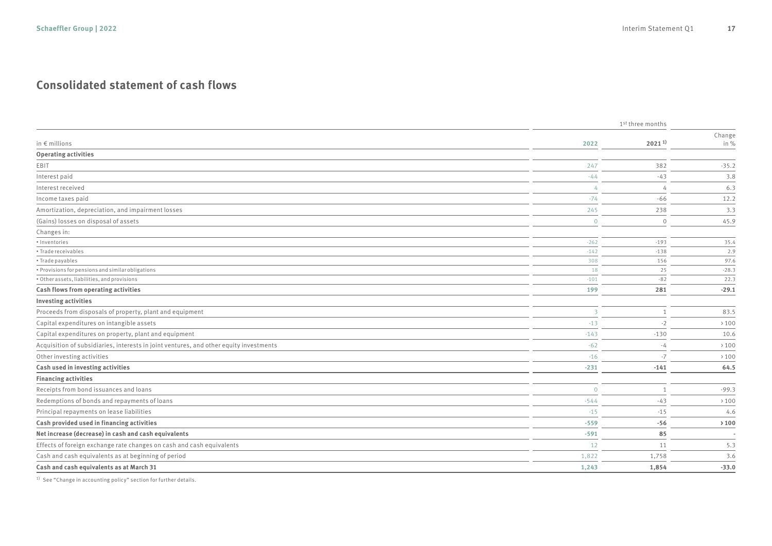### **Consolidated statement of cash flows**

| Change<br>in $\epsilon$ millions<br>$2021^{1}$<br>in %<br>2022<br><b>Operating activities</b><br>EBIT<br>247<br>382<br>$-35.2$<br>Interest paid<br>$-44$<br>$-43$<br>3.8<br>Interest received<br>6.3<br>$\overline{4}$<br>4<br>$-66$<br>Income taxes paid<br>$-74$<br>12.2<br>238<br>Amortization, depreciation, and impairment losses<br>245<br>3.3<br>(Gains) losses on disposal of assets<br>45.9<br>$\overline{0}$<br>$\mathbf{0}$<br>Changes in:<br>· Inventories<br>$-262$<br>$-193$<br>35.4<br>• Trade receivables<br>2.9<br>$-142$<br>$-138$<br>• Trade payables<br>156<br>97.6<br>308<br>• Provisions for pensions and similar obligations<br>18<br>25<br>$-28.3$<br>• Other assets, liabilities, and provisions<br>$-101$<br>$-82$<br>22.3<br>Cash flows from operating activities<br>$-29.1$<br>199<br>281<br><b>Investing activities</b><br>Proceeds from disposals of property, plant and equipment<br>$\overline{3}$<br>83.5<br>$\mathbf{1}$<br>Capital expenditures on intangible assets<br>$-13$<br>$-2$<br>>100<br>Capital expenditures on property, plant and equipment<br>10.6<br>$-143$<br>$-130$<br>Acquisition of subsidiaries, interests in joint ventures, and other equity investments<br>$-62$<br>$\rightarrow$ 100<br>-4<br>Other investing activities<br>$-16$<br>$-7$<br>$\rightarrow$ 100<br>Cash used in investing activities<br>64.5<br>$-231$<br>$-141$<br><b>Financing activities</b><br>Receipts from bond issuances and loans<br>$-99.3$<br>$\overline{0}$<br>Redemptions of bonds and repayments of loans<br>$-544$<br>$-43$<br>$\rightarrow$ 100<br>Principal repayments on lease liabilities<br>$-15$<br>$-15$<br>4.6<br>Cash provided used in financing activities<br>$-559$<br>$-56$<br>$\rightarrow 100$<br>Net increase (decrease) in cash and cash equivalents<br>85<br>$-591$<br>Effects of foreign exchange rate changes on cash and cash equivalents<br>12<br>11<br>5.3<br>Cash and cash equivalents as at beginning of period<br>1,822<br>1,758<br>3.6<br>Cash and cash equivalents as at March 31<br>1,243<br>1,854<br>$-33.0$ |  | 1 <sup>st</sup> three months |  |  |
|---------------------------------------------------------------------------------------------------------------------------------------------------------------------------------------------------------------------------------------------------------------------------------------------------------------------------------------------------------------------------------------------------------------------------------------------------------------------------------------------------------------------------------------------------------------------------------------------------------------------------------------------------------------------------------------------------------------------------------------------------------------------------------------------------------------------------------------------------------------------------------------------------------------------------------------------------------------------------------------------------------------------------------------------------------------------------------------------------------------------------------------------------------------------------------------------------------------------------------------------------------------------------------------------------------------------------------------------------------------------------------------------------------------------------------------------------------------------------------------------------------------------------------------------------------------------------------------------------------------------------------------------------------------------------------------------------------------------------------------------------------------------------------------------------------------------------------------------------------------------------------------------------------------------------------------------------------------------------------------------------------------------------------------------------------------------------------|--|------------------------------|--|--|
|                                                                                                                                                                                                                                                                                                                                                                                                                                                                                                                                                                                                                                                                                                                                                                                                                                                                                                                                                                                                                                                                                                                                                                                                                                                                                                                                                                                                                                                                                                                                                                                                                                                                                                                                                                                                                                                                                                                                                                                                                                                                                 |  |                              |  |  |
|                                                                                                                                                                                                                                                                                                                                                                                                                                                                                                                                                                                                                                                                                                                                                                                                                                                                                                                                                                                                                                                                                                                                                                                                                                                                                                                                                                                                                                                                                                                                                                                                                                                                                                                                                                                                                                                                                                                                                                                                                                                                                 |  |                              |  |  |
|                                                                                                                                                                                                                                                                                                                                                                                                                                                                                                                                                                                                                                                                                                                                                                                                                                                                                                                                                                                                                                                                                                                                                                                                                                                                                                                                                                                                                                                                                                                                                                                                                                                                                                                                                                                                                                                                                                                                                                                                                                                                                 |  |                              |  |  |
|                                                                                                                                                                                                                                                                                                                                                                                                                                                                                                                                                                                                                                                                                                                                                                                                                                                                                                                                                                                                                                                                                                                                                                                                                                                                                                                                                                                                                                                                                                                                                                                                                                                                                                                                                                                                                                                                                                                                                                                                                                                                                 |  |                              |  |  |
|                                                                                                                                                                                                                                                                                                                                                                                                                                                                                                                                                                                                                                                                                                                                                                                                                                                                                                                                                                                                                                                                                                                                                                                                                                                                                                                                                                                                                                                                                                                                                                                                                                                                                                                                                                                                                                                                                                                                                                                                                                                                                 |  |                              |  |  |
|                                                                                                                                                                                                                                                                                                                                                                                                                                                                                                                                                                                                                                                                                                                                                                                                                                                                                                                                                                                                                                                                                                                                                                                                                                                                                                                                                                                                                                                                                                                                                                                                                                                                                                                                                                                                                                                                                                                                                                                                                                                                                 |  |                              |  |  |
|                                                                                                                                                                                                                                                                                                                                                                                                                                                                                                                                                                                                                                                                                                                                                                                                                                                                                                                                                                                                                                                                                                                                                                                                                                                                                                                                                                                                                                                                                                                                                                                                                                                                                                                                                                                                                                                                                                                                                                                                                                                                                 |  |                              |  |  |
|                                                                                                                                                                                                                                                                                                                                                                                                                                                                                                                                                                                                                                                                                                                                                                                                                                                                                                                                                                                                                                                                                                                                                                                                                                                                                                                                                                                                                                                                                                                                                                                                                                                                                                                                                                                                                                                                                                                                                                                                                                                                                 |  |                              |  |  |
|                                                                                                                                                                                                                                                                                                                                                                                                                                                                                                                                                                                                                                                                                                                                                                                                                                                                                                                                                                                                                                                                                                                                                                                                                                                                                                                                                                                                                                                                                                                                                                                                                                                                                                                                                                                                                                                                                                                                                                                                                                                                                 |  |                              |  |  |
|                                                                                                                                                                                                                                                                                                                                                                                                                                                                                                                                                                                                                                                                                                                                                                                                                                                                                                                                                                                                                                                                                                                                                                                                                                                                                                                                                                                                                                                                                                                                                                                                                                                                                                                                                                                                                                                                                                                                                                                                                                                                                 |  |                              |  |  |
|                                                                                                                                                                                                                                                                                                                                                                                                                                                                                                                                                                                                                                                                                                                                                                                                                                                                                                                                                                                                                                                                                                                                                                                                                                                                                                                                                                                                                                                                                                                                                                                                                                                                                                                                                                                                                                                                                                                                                                                                                                                                                 |  |                              |  |  |
|                                                                                                                                                                                                                                                                                                                                                                                                                                                                                                                                                                                                                                                                                                                                                                                                                                                                                                                                                                                                                                                                                                                                                                                                                                                                                                                                                                                                                                                                                                                                                                                                                                                                                                                                                                                                                                                                                                                                                                                                                                                                                 |  |                              |  |  |
|                                                                                                                                                                                                                                                                                                                                                                                                                                                                                                                                                                                                                                                                                                                                                                                                                                                                                                                                                                                                                                                                                                                                                                                                                                                                                                                                                                                                                                                                                                                                                                                                                                                                                                                                                                                                                                                                                                                                                                                                                                                                                 |  |                              |  |  |
|                                                                                                                                                                                                                                                                                                                                                                                                                                                                                                                                                                                                                                                                                                                                                                                                                                                                                                                                                                                                                                                                                                                                                                                                                                                                                                                                                                                                                                                                                                                                                                                                                                                                                                                                                                                                                                                                                                                                                                                                                                                                                 |  |                              |  |  |
|                                                                                                                                                                                                                                                                                                                                                                                                                                                                                                                                                                                                                                                                                                                                                                                                                                                                                                                                                                                                                                                                                                                                                                                                                                                                                                                                                                                                                                                                                                                                                                                                                                                                                                                                                                                                                                                                                                                                                                                                                                                                                 |  |                              |  |  |
|                                                                                                                                                                                                                                                                                                                                                                                                                                                                                                                                                                                                                                                                                                                                                                                                                                                                                                                                                                                                                                                                                                                                                                                                                                                                                                                                                                                                                                                                                                                                                                                                                                                                                                                                                                                                                                                                                                                                                                                                                                                                                 |  |                              |  |  |
|                                                                                                                                                                                                                                                                                                                                                                                                                                                                                                                                                                                                                                                                                                                                                                                                                                                                                                                                                                                                                                                                                                                                                                                                                                                                                                                                                                                                                                                                                                                                                                                                                                                                                                                                                                                                                                                                                                                                                                                                                                                                                 |  |                              |  |  |
|                                                                                                                                                                                                                                                                                                                                                                                                                                                                                                                                                                                                                                                                                                                                                                                                                                                                                                                                                                                                                                                                                                                                                                                                                                                                                                                                                                                                                                                                                                                                                                                                                                                                                                                                                                                                                                                                                                                                                                                                                                                                                 |  |                              |  |  |
|                                                                                                                                                                                                                                                                                                                                                                                                                                                                                                                                                                                                                                                                                                                                                                                                                                                                                                                                                                                                                                                                                                                                                                                                                                                                                                                                                                                                                                                                                                                                                                                                                                                                                                                                                                                                                                                                                                                                                                                                                                                                                 |  |                              |  |  |
|                                                                                                                                                                                                                                                                                                                                                                                                                                                                                                                                                                                                                                                                                                                                                                                                                                                                                                                                                                                                                                                                                                                                                                                                                                                                                                                                                                                                                                                                                                                                                                                                                                                                                                                                                                                                                                                                                                                                                                                                                                                                                 |  |                              |  |  |
|                                                                                                                                                                                                                                                                                                                                                                                                                                                                                                                                                                                                                                                                                                                                                                                                                                                                                                                                                                                                                                                                                                                                                                                                                                                                                                                                                                                                                                                                                                                                                                                                                                                                                                                                                                                                                                                                                                                                                                                                                                                                                 |  |                              |  |  |
|                                                                                                                                                                                                                                                                                                                                                                                                                                                                                                                                                                                                                                                                                                                                                                                                                                                                                                                                                                                                                                                                                                                                                                                                                                                                                                                                                                                                                                                                                                                                                                                                                                                                                                                                                                                                                                                                                                                                                                                                                                                                                 |  |                              |  |  |
|                                                                                                                                                                                                                                                                                                                                                                                                                                                                                                                                                                                                                                                                                                                                                                                                                                                                                                                                                                                                                                                                                                                                                                                                                                                                                                                                                                                                                                                                                                                                                                                                                                                                                                                                                                                                                                                                                                                                                                                                                                                                                 |  |                              |  |  |
|                                                                                                                                                                                                                                                                                                                                                                                                                                                                                                                                                                                                                                                                                                                                                                                                                                                                                                                                                                                                                                                                                                                                                                                                                                                                                                                                                                                                                                                                                                                                                                                                                                                                                                                                                                                                                                                                                                                                                                                                                                                                                 |  |                              |  |  |
|                                                                                                                                                                                                                                                                                                                                                                                                                                                                                                                                                                                                                                                                                                                                                                                                                                                                                                                                                                                                                                                                                                                                                                                                                                                                                                                                                                                                                                                                                                                                                                                                                                                                                                                                                                                                                                                                                                                                                                                                                                                                                 |  |                              |  |  |
|                                                                                                                                                                                                                                                                                                                                                                                                                                                                                                                                                                                                                                                                                                                                                                                                                                                                                                                                                                                                                                                                                                                                                                                                                                                                                                                                                                                                                                                                                                                                                                                                                                                                                                                                                                                                                                                                                                                                                                                                                                                                                 |  |                              |  |  |
|                                                                                                                                                                                                                                                                                                                                                                                                                                                                                                                                                                                                                                                                                                                                                                                                                                                                                                                                                                                                                                                                                                                                                                                                                                                                                                                                                                                                                                                                                                                                                                                                                                                                                                                                                                                                                                                                                                                                                                                                                                                                                 |  |                              |  |  |
|                                                                                                                                                                                                                                                                                                                                                                                                                                                                                                                                                                                                                                                                                                                                                                                                                                                                                                                                                                                                                                                                                                                                                                                                                                                                                                                                                                                                                                                                                                                                                                                                                                                                                                                                                                                                                                                                                                                                                                                                                                                                                 |  |                              |  |  |
|                                                                                                                                                                                                                                                                                                                                                                                                                                                                                                                                                                                                                                                                                                                                                                                                                                                                                                                                                                                                                                                                                                                                                                                                                                                                                                                                                                                                                                                                                                                                                                                                                                                                                                                                                                                                                                                                                                                                                                                                                                                                                 |  |                              |  |  |
|                                                                                                                                                                                                                                                                                                                                                                                                                                                                                                                                                                                                                                                                                                                                                                                                                                                                                                                                                                                                                                                                                                                                                                                                                                                                                                                                                                                                                                                                                                                                                                                                                                                                                                                                                                                                                                                                                                                                                                                                                                                                                 |  |                              |  |  |
|                                                                                                                                                                                                                                                                                                                                                                                                                                                                                                                                                                                                                                                                                                                                                                                                                                                                                                                                                                                                                                                                                                                                                                                                                                                                                                                                                                                                                                                                                                                                                                                                                                                                                                                                                                                                                                                                                                                                                                                                                                                                                 |  |                              |  |  |
|                                                                                                                                                                                                                                                                                                                                                                                                                                                                                                                                                                                                                                                                                                                                                                                                                                                                                                                                                                                                                                                                                                                                                                                                                                                                                                                                                                                                                                                                                                                                                                                                                                                                                                                                                                                                                                                                                                                                                                                                                                                                                 |  |                              |  |  |

1) See "Change in accounting policy" section for further details.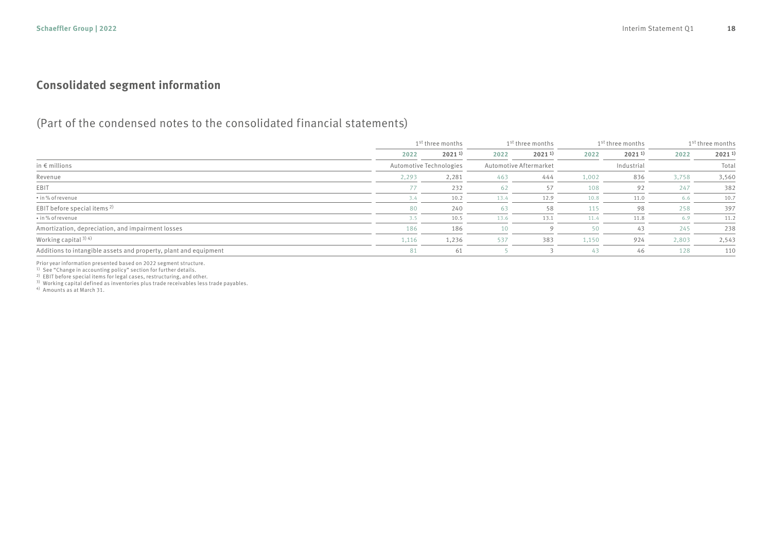### **Consolidated segment information**

### (Part of the condensed notes to the consolidated financial statements)

|                                                                  |       | 1 <sup>st</sup> three months |      | 1 <sup>st</sup> three months |       | 1 <sup>st</sup> three months | 1 <sup>st</sup> three months |             |
|------------------------------------------------------------------|-------|------------------------------|------|------------------------------|-------|------------------------------|------------------------------|-------------|
|                                                                  | 2022  | $2021^{11}$                  | 2022 | $2021^{11}$                  | 2022  | $2021^{1}$                   | 2022                         | $2021^{11}$ |
| in $\epsilon$ millions                                           |       | Automotive Technologies      |      | Automotive Aftermarket       |       | Industrial                   |                              | Total       |
| Revenue                                                          | 2,293 | 2,281                        | 463  | 444                          | 1,002 | 836                          | 3,758                        | 3,560       |
| EBIT                                                             | 77    | 232                          | 62   | 57                           | 108   | 92                           | 247                          | 382         |
| • in % of revenue                                                | 3.4   | 10.2                         | 13.4 | 12.9                         | 10.8  | 11.0                         | 6.6                          | 10.7        |
| EBIT before special items <sup>2)</sup>                          | 80    | 240                          | 63   | 58                           | 115   | 98                           | 258                          | 397         |
| • in % of revenue                                                | 3.5   | 10.5                         | 13.6 | 13.1                         | 11.4  | 11.8                         | 6.9                          | 11.2        |
| Amortization, depreciation, and impairment losses                | 186   | 186                          | 10   |                              | 50    | 43                           | 245                          | 238         |
| Working capital $3)$ 4)                                          | 1,116 | 1,236                        | 537  | 383                          | 1,150 | 924                          | 2,803                        | 2,543       |
| Additions to intangible assets and property, plant and equipment | 81    | 61                           |      |                              | 43    | 46                           | 128                          | 110         |

Prior year information presented based on 2022 segment structure.

1) See "Change in accounting policy" section for further details.

<sup>2)</sup> EBIT before special items for legal cases, restructuring, and other.

3) Working capital defined as inventories plus trade receivables less trade payables.

4) Amounts as at March 31.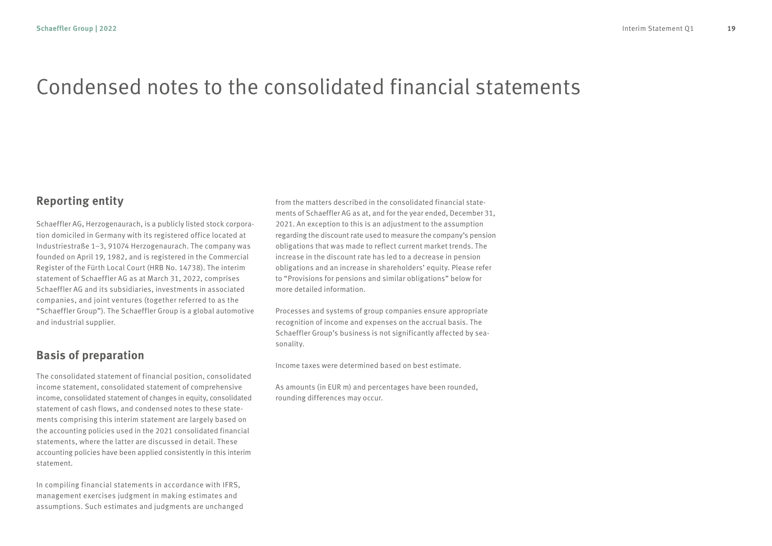## Condensed notes to the consolidated financial statements

### **Reporting entity**

Schaeffler AG, Herzogenaurach, is a publicly listed stock corporation domiciled in Germany with its registered office located at Industriestraße 1–3, 91074 Herzogenaurach. The company was founded on April 19, 1982, and is registered in the Commercial Register of the Fürth Local Court (HRB No. 14738). The interim statement of Schaeffler AG as at March 31, 2022, comprises Schaeffler AG and its subsidiaries, investments in associated companies, and joint ventures (together referred to as the "Schaeffler Group"). The Schaeffler Group is a global automotive and industrial supplier.

### **Basis of preparation**

The consolidated statement of financial position, consolidated income statement, consolidated statement of comprehensive income, consolidated statement of changes in equity, consolidated statement of cash flows, and condensed notes to these statements comprising this interim statement are largely based on the accounting policies used in the 2021 consolidated financial statements, where the latter are discussed in detail. These accounting policies have been applied consistently in this interim statement.

In compiling financial statements in accordance with IFRS, management exercises judgment in making estimates and assumptions. Such estimates and judgments are unchanged from the matters described in the consolidated financial statements of Schaeffler AG as at, and for the year ended, December 31, 2021. An exception to this is an adjustment to the assumption regarding the discount rate used to measure the company's pension obligations that was made to reflect current market trends. The increase in the discount rate has led to a decrease in pension obligations and an increase in shareholders' equity. Please refer to "Provisions for pensions and similar obligations" below for more detailed information.

Processes and systems of group companies ensure appropriate recognition of income and expenses on the accrual basis. The Schaeffler Group's business is not significantly affected by seasonality.

Income taxes were determined based on best estimate.

As amounts (in EUR m) and percentages have been rounded, rounding differences may occur.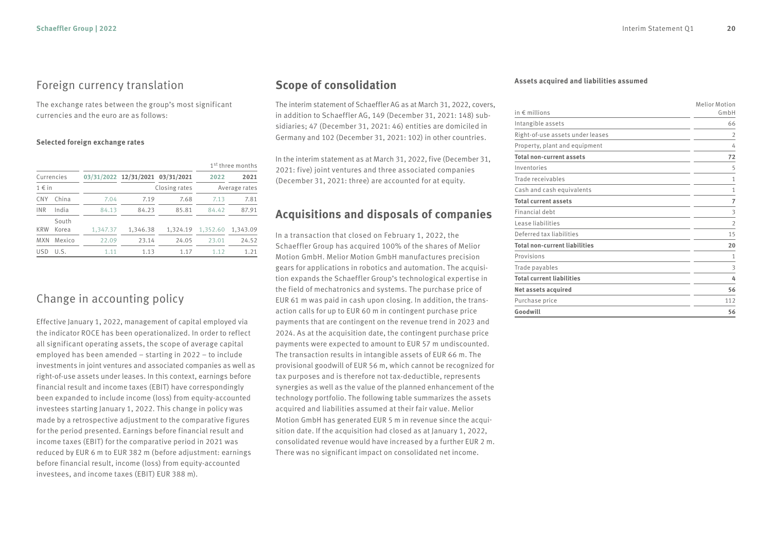#### Foreign currency translation

The exchange rates between the group's most significant currencies and the euro are as follows:

#### **Selected foreign exchange rates**

|                     |                |          |                                  |               | 1 <sup>st</sup> three months |               |
|---------------------|----------------|----------|----------------------------------|---------------|------------------------------|---------------|
| Currencies          |                |          | 03/31/2022 12/31/2021 03/31/2021 |               | 2022                         | 2021          |
| $1 \in \mathsf{in}$ |                |          |                                  | Closing rates |                              | Average rates |
| <b>CNY</b>          | China          | 7.04     | 7.19                             | 7.68          | 7.13                         | 7.81          |
| <b>INR</b>          | India          | 84.13    | 84.23                            | 85.81         | 84.42                        | 87.91         |
| <b>KRW</b>          | South<br>Korea | 1,347.37 | 1,346.38                         | 1.324.19      | 1,352.60                     | 1.343.09      |
| <b>MXN</b>          | Mexico         | 22.09    | 23.14                            | 24.05         | 23.01                        | 24.52         |
| <b>USD</b>          | U.S.           | 1.11     | 1.13                             | 1.17          | 1.12                         | 1.21          |

### Change in accounting policy

Effective January 1, 2022, management of capital employed via the indicator ROCE has been operationalized. In order to reflect all significant operating assets, the scope of average capital employed has been amended – starting in 2022 – to include investments in joint ventures and associated companies as well as right-of-use assets under leases. In this context, earnings before financial result and income taxes (EBIT) have correspondingly been expanded to include income (loss) from equity-accounted investees starting January 1, 2022. This change in policy was made by a retrospective adjustment to the comparative figures for the period presented. Earnings before financial result and income taxes (EBIT) for the comparative period in 2021 was reduced by EUR 6 m to EUR 382 m (before adjustment: earnings before financial result, income (loss) from equity-accounted investees, and income taxes (EBIT) EUR 388 m).

### **Scope of consolidation**

The interim statement of Schaeffler AG as at March 31, 2022, covers, in addition to Schaeffler AG, 149 (December 31, 2021: 148) subsidiaries; 47 (December 31, 2021: 46) entities are domiciled in Germany and 102 (December 31, 2021: 102) in other countries.

In the interim statement as at March 31, 2022, five (December 31, 2021: five) joint ventures and three associated companies (December 31, 2021: three) are accounted for at equity.

### **Acquisitions and disposals of companies**

In a transaction that closed on February 1, 2022, the Schaeffler Group has acquired 100% of the shares of Melior Motion GmbH. Melior Motion GmbH manufactures precision gears for applications in robotics and automation. The acquisition expands the Schaeffler Group's technological expertise in the field of mechatronics and systems. The purchase price of EUR 61 m was paid in cash upon closing. In addition, the transaction calls for up to EUR 60 m in contingent purchase price payments that are contingent on the revenue trend in 2023 and 2024. As at the acquisition date, the contingent purchase price payments were expected to amount to EUR 57 m undiscounted. The transaction results in intangible assets of EUR 66 m. The provisional goodwill of EUR 56 m, which cannot be recognized for tax purposes and is therefore not tax-deductible, represents synergies as well as the value of the planned enhancement of the technology portfolio. The following table summarizes the assets acquired and liabilities assumed at their fair value. Melior Motion GmbH has generated EUR 5 m in revenue since the acquisition date. If the acquisition had closed as at January 1, 2022, consolidated revenue would have increased by a further EUR 2 m. There was no significant impact on consolidated net income.

#### **Assets acquired and liabilities assumed**

| in $\epsilon$ millions               | <b>Melior Motion</b><br>GmbH |
|--------------------------------------|------------------------------|
| Intangible assets                    | 66                           |
| Right-of-use assets under leases     | $\overline{2}$               |
| Property, plant and equipment        | 4                            |
| <b>Total non-current assets</b>      | 72                           |
| Inventories                          | 5                            |
| Trade receivables                    | 1                            |
| Cash and cash equivalents            | 1                            |
| <b>Total current assets</b>          | $\overline{7}$               |
| Financial debt                       | 3                            |
| Lease liabilities                    | $\overline{2}$               |
| Deferred tax liabilities             | 15                           |
| <b>Total non-current liabilities</b> | 20                           |
| Provisions                           | $\mathbf{1}$                 |
| Trade payables                       | 3                            |
| <b>Total current liabilities</b>     | 4                            |
| Net assets acquired                  | 56                           |
| Purchase price                       | 112                          |
| Goodwill                             | 56                           |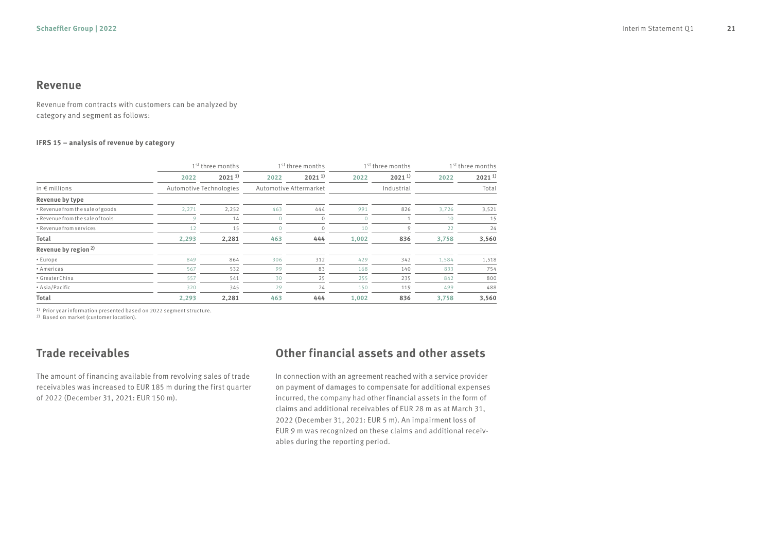#### **Revenue**

Revenue from contracts with customers can be analyzed by category and segment as follows:

#### **IFRS 15 – analysis of revenue by category**

|                                  |                         | 1 <sup>st</sup> three months<br>1 <sup>st</sup> three months |                        |              | 1 <sup>st</sup> three months | 1 <sup>st</sup> three months |       |             |
|----------------------------------|-------------------------|--------------------------------------------------------------|------------------------|--------------|------------------------------|------------------------------|-------|-------------|
|                                  | 2022                    | $2021^{11}$                                                  | 2022                   | $2021^{11}$  | 2022                         | $2021^{11}$                  | 2022  | $2021^{11}$ |
| in $\epsilon$ millions           | Automotive Technologies |                                                              | Automotive Aftermarket |              |                              | Industrial                   |       | Total       |
| Revenue by type                  |                         |                                                              |                        |              |                              |                              |       |             |
| • Revenue from the sale of goods | 2,271                   | 2,252                                                        | 463                    | 444          | 991                          | 826                          | 3,726 | 3,521       |
| • Revenue from the sale of tools | 9                       | 14                                                           | $\Omega$               | $\mathbf{0}$ | $\mathbf{0}$                 |                              | 10    | 15          |
| • Revenue from services          | 12                      | 15                                                           |                        | $\mathbf{0}$ | 10                           | 9                            | 22    | 24          |
| Total                            | 2,293                   | 2,281                                                        | 463                    | 444          | 1,002                        | 836                          | 3,758 | 3,560       |
| Revenue by region <sup>2)</sup>  |                         |                                                              |                        |              |                              |                              |       |             |
| • Europe                         | 849                     | 864                                                          | 306                    | 312          | 429                          | 342                          | 1,584 | 1,518       |
| • Americas                       | 567                     | 532                                                          | 99                     | 83           | 168                          | 140                          | 833   | 754         |
| • Greater China                  | 557                     | 541                                                          | 30                     | 25           | 255                          | 235                          | 842   | 800         |
| • Asia/Pacific                   | 320                     | 345                                                          | 29                     | 24           | 150                          | 119                          | 499   | 488         |
| Total                            | 2,293                   | 2,281                                                        | 463                    | 444          | 1.002                        | 836                          | 3,758 | 3,560       |

<sup>1)</sup> Prior year information presented based on 2022 segment structure.

2) Based on market (customer location).

### **Trade receivables**

The amount of financing available from revolving sales of trade receivables was increased to EUR 185 m during the first quarter of 2022 (December 31, 2021: EUR 150 m).

### **Other financial assets and other assets**

In connection with an agreement reached with a service provider on payment of damages to compensate for additional expenses incurred, the company had other financial assets in the form of claims and additional receivables of EUR 28 m as at March 31, 2022 (December 31, 2021: EUR 5 m). An impairment loss of EUR 9 m was recognized on these claims and additional receivables during the reporting period.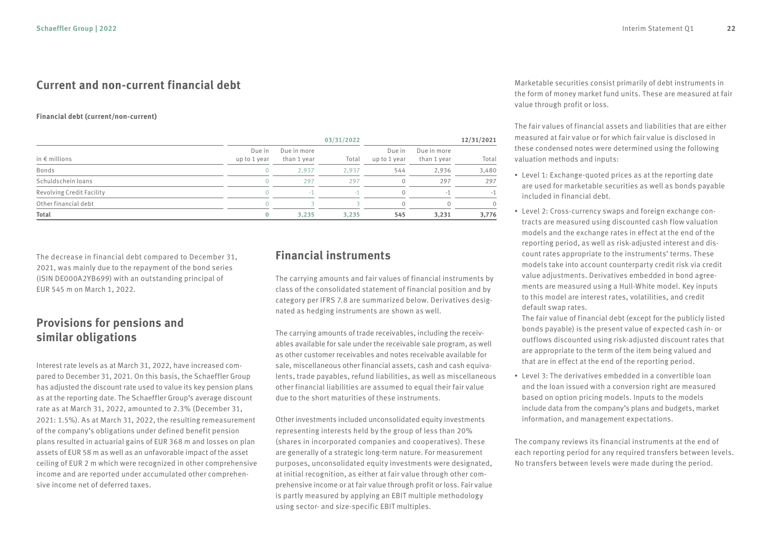### **Current and non-current financial debt**

#### **Financial debt (current/non-current)**

|                           |                        |                            | 03/31/2022 |                        |                            | 12/31/2021 |
|---------------------------|------------------------|----------------------------|------------|------------------------|----------------------------|------------|
| in $\epsilon$ millions    | Due in<br>up to 1 year | Due in more<br>than 1 year | Total      | Due in<br>up to 1 year | Due in more<br>than 1 year | Total      |
| Bonds                     |                        | 2.937                      | 2.937      | 544                    | 2,936                      | 3,480      |
| Schuldschein loans        |                        | 297                        | 297        |                        | 297                        | 297        |
| Revolving Credit Facility |                        |                            |            | $\Omega$               | ×.                         | $-1$       |
| Other financial debt      |                        |                            |            |                        |                            | $\Omega$   |
| Total                     | 0                      | 3.235                      | 3.235      | 545                    | 3,231                      | 3,776      |

The decrease in financial debt compared to December 31, 2021, was mainly due to the repayment of the bond series (ISIN DE000A2YB699) with an outstanding principal of EUR 545 m on March 1, 2022.

### **Provisions for pensions and similar obligations**

Interest rate levels as at March 31, 2022, have increased compared to December 31, 2021. On this basis, the Schaeffler Group has adjusted the discount rate used to value its key pension plans as at the reporting date. The Schaeffler Group's average discount rate as at March 31, 2022, amounted to 2.3% (December 31, 2021: 1.5%). As at March 31, 2022, the resulting remeasurement of the company's obligations under defined benefit pension plans resulted in actuarial gains of EUR 368 m and losses on plan assets of EUR 58 m as well as an unfavorable impact of the asset ceiling of EUR 2 m which were recognized in other comprehensive income and are reported under accumulated other comprehensive income net of deferred taxes.

### **Financial instruments**

The carrying amounts and fair values of financial instruments by class of the consolidated statement of financial position and by category per IFRS 7.8 are summarized below. Derivatives designated as hedging instruments are shown as well.

The carrying amounts of trade receivables, including the receivables available for sale under the receivable sale program, as well as other customer receivables and notes receivable available for sale, miscellaneous other financial assets, cash and cash equivalents, trade payables, refund liabilities, as well as miscellaneous other financial liabilities are assumed to equal their fair value due to the short maturities of these instruments.

Other investments included unconsolidated equity investments representing interests held by the group of less than 20% (shares in incorporated companies and cooperatives). These are generally of a strategic long-term nature. For measurement purposes, unconsolidated equity investments were designated, at initial recognition, as either at fair value through other comprehensive income or at fair value through profit or loss. Fair value is partly measured by applying an EBIT multiple methodology using sector- and size-specific EBIT multiples.

Marketable securities consist primarily of debt instruments in the form of money market fund units. These are measured at fair value through profit or loss.

The fair values of financial assets and liabilities that are either measured at fair value or for which fair value is disclosed in these condensed notes were determined using the following valuation methods and inputs:

- Level 1: Exchange-quoted prices as at the reporting date are used for marketable securities as well as bonds payable included in financial debt.
- Level 2: Cross-currency swaps and foreign exchange contracts are measured using discounted cash flow valuation models and the exchange rates in effect at the end of the reporting period, as well as risk-adjusted interest and discount rates appropriate to the instruments' terms. These models take into account counterparty credit risk via credit value adjustments. Derivatives embedded in bond agreements are measured using a Hull-White model. Key inputs to this model are interest rates, volatilities, and credit default swap rates.

The fair value of financial debt (except for the publicly listed bonds payable) is the present value of expected cash in- or outflows discounted using risk-adjusted discount rates that are appropriate to the term of the item being valued and that are in effect at the end of the reporting period.

• Level 3: The derivatives embedded in a convertible loan and the loan issued with a conversion right are measured based on option pricing models. Inputs to the models include data from the company's plans and budgets, market information, and management expectations.

The company reviews its financial instruments at the end of each reporting period for any required transfers between levels. No transfers between levels were made during the period.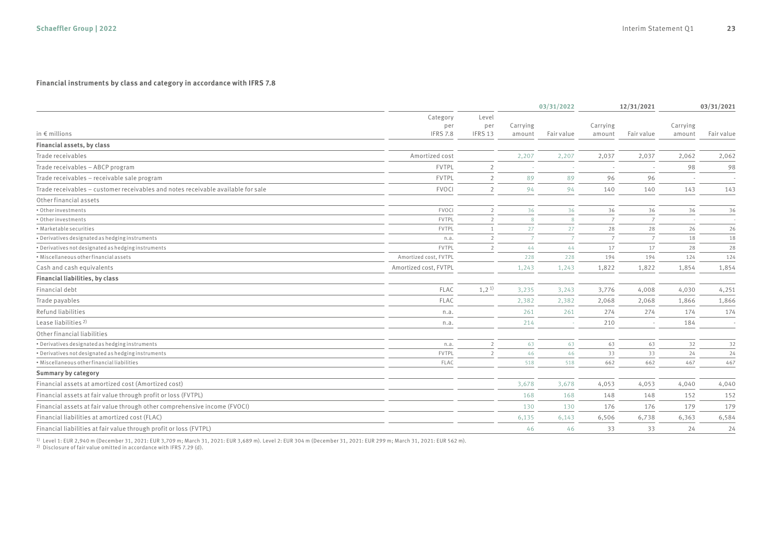#### **Financial instruments by class and category in accordance with IFRS 7.8**

|                                                                                  |                                    |                         | 03/31/2022         |                | 12/31/2021         |                | 03/31/2021         |            |
|----------------------------------------------------------------------------------|------------------------------------|-------------------------|--------------------|----------------|--------------------|----------------|--------------------|------------|
| in $\epsilon$ millions                                                           | Category<br>per<br><b>IFRS 7.8</b> | Level<br>per<br>IFRS 13 | Carrying<br>amount | Fair value     | Carrying<br>amount | Fair value     | Carrying<br>amount | Fair value |
| Financial assets, by class                                                       |                                    |                         |                    |                |                    |                |                    |            |
| Trade receivables                                                                | Amortized cost                     |                         | 2,207              | 2,207          | 2,037              | 2,037          | 2,062              | 2,062      |
| Trade receivables - ABCP program                                                 | <b>FVTPL</b>                       | $\overline{2}$          |                    |                |                    |                | 98                 | 98         |
| Trade receivables - receivable sale program                                      | <b>FVTPL</b>                       | $\overline{2}$          | 89                 | 89             | 96                 | 96             |                    |            |
| Trade receivables - customer receivables and notes receivable available for sale | <b>FVOCI</b>                       | $\overline{2}$          | 94                 | 94             | 140                | 140            | 143                | 143        |
| Other financial assets                                                           |                                    |                         |                    |                |                    |                |                    |            |
| • Other investments                                                              | FVOCI                              | $\overline{2}$          | 36                 | 36             | 36                 | 36             | 36                 | 36         |
| • Other investments                                                              | FVTPL                              | $\mathcal{D}$           | $\mathcal{R}$      | 8              | $\overline{7}$     | $\overline{7}$ |                    | ÷.         |
| • Marketable securities                                                          | FVTPL                              | $\overline{1}$          | 27                 | 27             | 28                 | 28             | 26                 | 26         |
| · Derivatives designated as hedging instruments                                  | n.a.                               | $\mathcal{L}$           |                    | $\overline{7}$ | $\overline{7}$     | $\overline{7}$ | 18                 | 18         |
| . Derivatives not designated as hedging instruments                              | <b>FVTPL</b>                       | $\overline{2}$          | 44                 | 44             | 17                 | 17             | 28                 | 28         |
| • Miscellaneous other financial assets                                           | Amortized cost, FVTPL              |                         | 228                | 228            | 194                | 194            | 124                | 124        |
| Cash and cash equivalents                                                        | Amortized cost, FVTPL              |                         | 1,243              | 1,243          | 1,822              | 1,822          | 1,854              | 1,854      |
| Financial liabilities, by class                                                  |                                    |                         |                    |                |                    |                |                    |            |
| Financial debt                                                                   | <b>FLAC</b>                        | 1,2 <sup>1</sup>        | 3,235              | 3,243          | 3,776              | 4,008          | 4,030              | 4,251      |
| Trade payables                                                                   | <b>FLAC</b>                        |                         | 2,382              | 2,382          | 2.068              | 2.068          | 1,866              | 1,866      |
| Refund liabilities                                                               | n.a.                               |                         | 261                | 261            | 274                | 274            | 174                | 174        |
| Lease liabilities <sup>2)</sup>                                                  | n.a.                               |                         | 214                |                | 210                |                | 184                |            |
| Other financial liabilities                                                      |                                    |                         |                    |                |                    |                |                    |            |
| . Derivatives designated as hedging instruments                                  | n.a.                               | $\overline{2}$          | 63                 | 63             | 63                 | 63             | 32                 | 32         |
| * Derivatives not designated as hedging instruments                              | FVTPL                              | $\overline{2}$          | 46                 | 46             | 33                 | 33             | 24                 | 24         |
| . Miscellaneous other financial liabilities                                      | FLAC                               |                         | 518                | 518            | 662                | 662            | 467                | 467        |
| Summary by category                                                              |                                    |                         |                    |                |                    |                |                    |            |
| Financial assets at amortized cost (Amortized cost)                              |                                    |                         | 3,678              | 3,678          | 4,053              | 4,053          | 4,040              | 4,040      |
| Financial assets at fair value through profit or loss (FVTPL)                    |                                    |                         | 168                | 168            | 148                | 148            | 152                | 152        |
| Financial assets at fair value through other comprehensive income (FVOCI)        |                                    |                         | 130                | 130            | 176                | 176            | 179                | 179        |
| Financial liabilities at amortized cost (FLAC)                                   |                                    |                         | 6,135              | 6,143          | 6,506              | 6,738          | 6,363              | 6,584      |
| Financial liabilities at fair value through profit or loss (FVTPL)               |                                    |                         | 46                 | 46             | 33                 | 33             | 24                 | 24         |

<sup>1)</sup> Level 1: EUR 2,940 m (December 31, 2021: EUR 3,709 m; March 31, 2021: EUR 3,689 m). Level 2: EUR 304 m (December 31, 2021: EUR 299 m; March 31, 2021: EUR 562 m).<br><sup>2)</sup> Disclosure of fair value omitted in accordance wit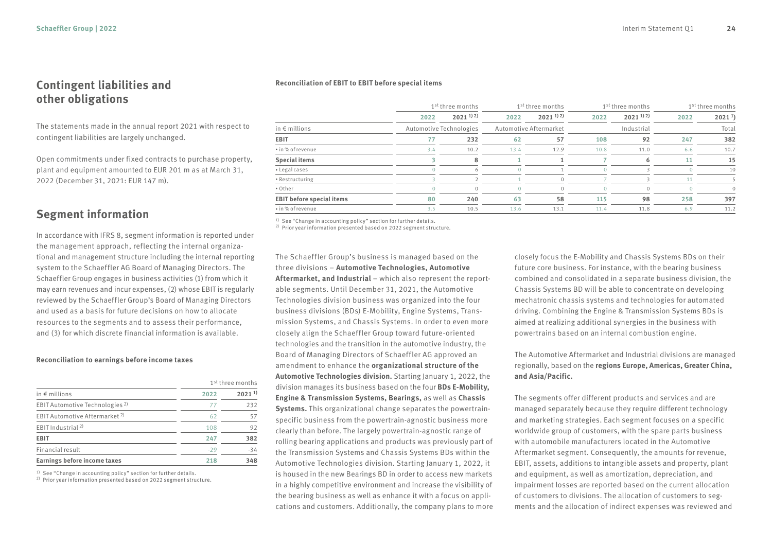#### **Contingent liabilities and other obligations**

The statements made in the annual report 2021 with respect to contingent liabilities are largely unchanged.

Open commitments under fixed contracts to purchase property, plant and equipment amounted to EUR 201 m as at March 31, 2022 (December 31, 2021: EUR 147 m).

### **Segment information**

In accordance with IFRS 8, segment information is reported under the management approach, reflecting the internal organizational and management structure including the internal reporting system to the Schaeffler AG Board of Managing Directors. The Schaeffler Group engages in business activities (1) from which it may earn revenues and incur expenses, (2) whose EBIT is regularly reviewed by the Schaeffler Group's Board of Managing Directors and used as a basis for future decisions on how to allocate resources to the segments and to assess their performance, and (3) for which discrete financial information is available.

#### **Reconciliation to earnings before income taxes**

|                                            | 1 <sup>st</sup> three months |            |  |  |  |
|--------------------------------------------|------------------------------|------------|--|--|--|
| in $\epsilon$ millions                     | 2022                         | $2021^{1}$ |  |  |  |
| EBIT Automotive Technologies <sup>2)</sup> | 77                           | 232        |  |  |  |
| EBIT Automotive Aftermarket <sup>2)</sup>  | 62                           | 57         |  |  |  |
| EBIT Industrial <sup>2)</sup>              | 108                          | 92         |  |  |  |
| EBIT                                       | 247                          | 382        |  |  |  |
| Financial result                           | $-29$                        | $-34$      |  |  |  |
| Earnings before income taxes               | 218                          | 348        |  |  |  |

1) See "Change in accounting policy" section for further details.

2) Prior year information presented based on 2022 segment structure.

#### **Reconciliation of EBIT to EBIT before special items**

|                                  |                         | 1 <sup>st</sup> three months<br>1 <sup>st</sup> three months |      |                                   |      | 1 <sup>st</sup> three months | 1 <sup>st</sup> three months |                   |  |
|----------------------------------|-------------------------|--------------------------------------------------------------|------|-----------------------------------|------|------------------------------|------------------------------|-------------------|--|
|                                  | 2022                    | $2021^{1/2}$                                                 | 2022 | $2021$ <sup>1)</sup> <sup>2</sup> | 2022 | $2021^{112}$                 | 2022                         | 2021 <sup>1</sup> |  |
| in $\epsilon$ millions           | Automotive Technologies |                                                              |      | Automotive Aftermarket            |      | Industrial                   |                              | Total             |  |
| EBIT                             |                         | 232                                                          | 62   | 57                                | 108  | 92                           | 247                          | 382               |  |
| • in % of revenue                | 3.4                     | 10.2                                                         | 13.4 | 12.9                              | 10.8 | 11.0                         | 6.6                          | 10.7              |  |
| <b>Special items</b>             |                         | 8                                                            |      |                                   |      | 6                            | 11                           | 15                |  |
| • Legal cases                    |                         | 6                                                            |      |                                   |      |                              |                              | 10                |  |
| • Restructuring                  |                         |                                                              |      |                                   |      |                              |                              |                   |  |
| • Other                          |                         | $\Omega$                                                     |      | $\Omega$                          |      | $\Omega$                     |                              | $\Omega$          |  |
| <b>EBIT before special items</b> | 80                      | 240                                                          | 63   | 58                                | 115  | 98                           | 258                          | 397               |  |
| • in % of revenue                | 3.5                     | 10.5                                                         | 13.6 | 13.1                              | 11.4 | 11.8                         | 6.9                          | 11.2              |  |

<sup>1)</sup> See "Change in accounting policy" section for further details.

2) Prior year information presented based on 2022 segment structure.

The Schaeffler Group's business is managed based on the three divisions – **Automotive Technologies, Automotive**  Aftermarket, and Industrial - which also represent the reportable segments. Until December 31, 2021, the Automotive Technologies division business was organized into the four business divisions (BDs) E-Mobility, Engine Systems, Transmission Systems, and Chassis Systems. In order to even more closely align the Schaeffler Group toward future-oriented technologies and the transition in the automotive industry, the Board of Managing Directors of Schaeffler AG approved an amendment to enhance the **organizational structure of the Automotive Technologies division.** Starting January 1, 2022, the division manages its business based on the four **BDs E-Mobility, Engine & Transmission Systems, Bearings,** as well as **Chassis Systems.** This organizational change separates the powertrainspecific business from the powertrain-agnostic business more clearly than before. The largely powertrain-agnostic range of rolling bearing applications and products was previously part of the Transmission Systems and Chassis Systems BDs within the Automotive Technologies division. Starting January 1, 2022, it is housed in the new Bearings BD in order to access new markets in a highly competitive environment and increase the visibility of the bearing business as well as enhance it with a focus on applications and customers. Additionally, the company plans to more

closely focus the E-Mobility and Chassis Systems BDs on their future core business. For instance, with the bearing business combined and consolidated in a separate business division, the Chassis Systems BD will be able to concentrate on developing mechatronic chassis systems and technologies for automated driving. Combining the Engine & Transmission Systems BDs is aimed at realizing additional synergies in the business with powertrains based on an internal combustion engine.

The Automotive Aftermarket and Industrial divisions are managed regionally, based on the **regions Europe, Americas, Greater China, and Asia/Pacific.**

The segments offer different products and services and are managed separately because they require different technology and marketing strategies. Each segment focuses on a specific worldwide group of customers, with the spare parts business with automobile manufacturers located in the Automotive Aftermarket segment. Consequently, the amounts for revenue, EBIT, assets, additions to intangible assets and property, plant and equipment, as well as amortization, depreciation, and impairment losses are reported based on the current allocation of customers to divisions. The allocation of customers to segments and the allocation of indirect expenses was reviewed and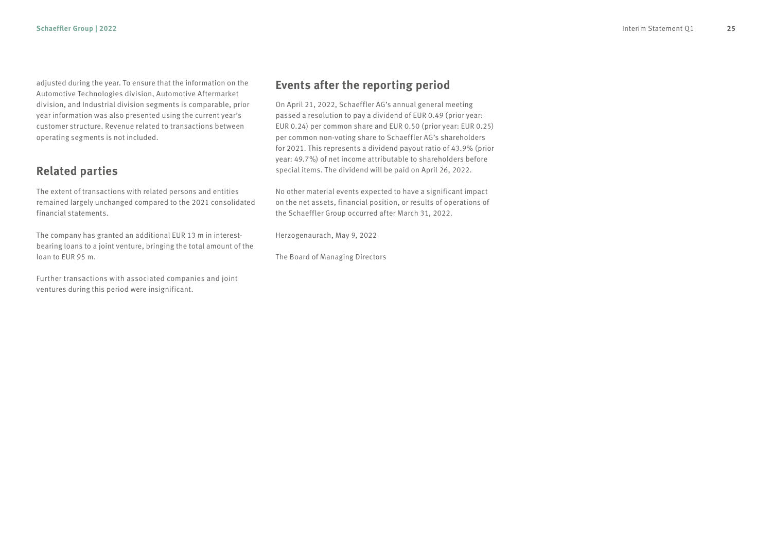adjusted during the year. To ensure that the information on the Automotive Technologies division, Automotive Aftermarket division, and Industrial division segments is comparable, prior year information was also presented using the current year's customer structure. Revenue related to transactions between operating segments is not included.

### **Related parties**

The extent of transactions with related persons and entities remained largely unchanged compared to the 2021 consolidated financial statements.

The company has granted an additional EUR 13 m in interestbearing loans to a joint venture, bringing the total amount of the loan to EUR 95 m.

Further transactions with associated companies and joint ventures during this period were insignificant.

#### **Events after the reporting period**

On April 21, 2022, Schaeffler AG's annual general meeting passed a resolution to pay a dividend of EUR 0.49 (prior year: EUR 0.24) per common share and EUR 0.50 (prior year: EUR 0.25) per common non-voting share to Schaeffler AG's shareholders for 2021. This represents a dividend payout ratio of 43.9% (prior year: 49.7%) of net income attributable to shareholders before special items. The dividend will be paid on April 26, 2022.

No other material events expected to have a significant impact on the net assets, financial position, or results of operations of the Schaeffler Group occurred after March 31, 2022.

Herzogenaurach, May 9, 2022

The Board of Managing Directors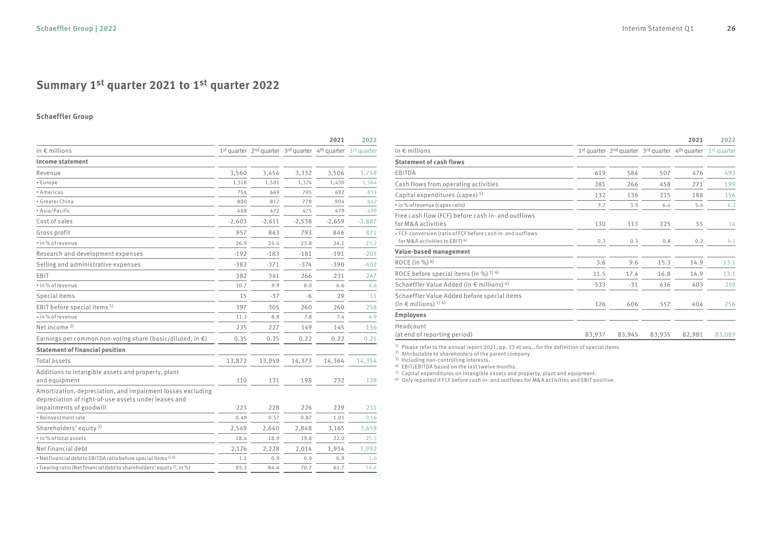## **Summary 1st quarter 2021 to 1st quarter 2022**

#### **Schaeffler Group**

|                                                                                                                     | 2021     |          |          |                                                                       | 2022     |
|---------------------------------------------------------------------------------------------------------------------|----------|----------|----------|-----------------------------------------------------------------------|----------|
| in $\epsilon$ millions                                                                                              |          |          |          | $1st$ quarter $2nd$ quarter $3rd$ quarter $4th$ quarter $1st$ quarter |          |
| Income statement                                                                                                    |          |          |          |                                                                       |          |
| Revenue                                                                                                             | 3,560    | 3,454    | 3,332    | 3,506                                                                 | 3,758    |
| • Europe                                                                                                            | 1,518    | 1,501    | 1,374    | 1,430                                                                 | 1,584    |
| • Americas                                                                                                          | 754      | 669      | 705      | 692                                                                   | 833      |
| · Greater China                                                                                                     | 800      | 812      | 778      | 904                                                                   | 842      |
| • Asia/Pacific                                                                                                      | 488      | 472      | 475      | 479                                                                   | 499      |
| Cost of sales                                                                                                       | $-2,603$ | $-2,611$ | $-2,538$ | $-2,659$                                                              | $-2,887$ |
| Gross profit                                                                                                        | 957      | 843      | 793      | 846                                                                   | 871      |
| • in % of revenue                                                                                                   | 26.9     | 24.4     | 23.8     | 24.1                                                                  | 23.2     |
| Research and development expenses                                                                                   | $-192$   | $-183$   | $-181$   | $-191$                                                                | $-203$   |
| Selling and administrative expenses                                                                                 | $-383$   | $-371$   | $-374$   | $-390$                                                                | $-402$   |
| EBIT                                                                                                                | 382      | 341      | 266      | 231                                                                   | 247      |
| • in % of revenue                                                                                                   | 10.7     | 9.9      | 8.0      | 6.6                                                                   | 6.6      |
| Special items                                                                                                       | 15       | $-37$    | -6       | 29                                                                    | 11       |
| EBIT before special items <sup>1)</sup>                                                                             | 397      | 305      | 260      | 260                                                                   | 258      |
| • in % of revenue                                                                                                   | 11.2     | 8.8      | 7.8      | 7.4                                                                   | 6.9      |
| Net income $2$                                                                                                      | 235      | 227      | 149      | 145                                                                   | 136      |
| Earnings per common non-voting share (basic/diluted, in $\epsilon$ )                                                | 0.35     | 0.35     | 0.22     | 0.22                                                                  | 0.21     |
| <b>Statement of financial position</b>                                                                              |          |          |          |                                                                       |          |
| Total assets                                                                                                        | 13,872   | 13,959   | 14,373   | 14,364                                                                | 14,354   |
| Additions to intangible assets and property, plant                                                                  |          |          |          |                                                                       |          |
| and equipment                                                                                                       | 110      | 131      | 198      | 232                                                                   | 128      |
| Amortization, depreciation, and impairment losses excluding<br>depreciation of right-of-use assets under leases and |          |          |          |                                                                       |          |
| impairments of goodwill                                                                                             | 223      | 228      | 226      | 229                                                                   | 231      |
| · Reinvestment rate                                                                                                 | 0.49     | 0.57     | 0.87     | 1.01                                                                  | 0.56     |
| Shareholders' equity <sup>3)</sup>                                                                                  | 2,549    | 2,640    | 2,848    | 3,165                                                                 | 3,659    |
| . in % of total assets                                                                                              | 18.4     | 18.9     | 19.8     | 22.0                                                                  | 25.5     |
| Net financial debt                                                                                                  | 2,176    | 2,228    | 2,014    | 1,954                                                                 | 1,992    |
| * Net financial debt to EBITDA ratio before special items <sup>1) 4)</sup>                                          | 1.1      | 0.9      | 0.9      | 0.9                                                                   | 1.0      |
| • Gearing ratio (Net financial debt to shareholders' equity <sup>3)</sup> , in %)                                   | 85.3     | 84.4     | 70.7     | 61.7                                                                  | 54.4     |

|                                                                                                          |        | 2021   | 2022   |                                                                       |        |
|----------------------------------------------------------------------------------------------------------|--------|--------|--------|-----------------------------------------------------------------------|--------|
| in $\notin$ millions                                                                                     |        |        |        | $1st$ quarter $2nd$ quarter $3rd$ quarter $4th$ quarter $1st$ quarter |        |
| <b>Statement of cash flows</b>                                                                           |        |        |        |                                                                       |        |
| EBITDA                                                                                                   | 619    | 584    | 507    | 476                                                                   | 493    |
| Cash flows from operating activities                                                                     | 281    | 266    | 458    | 271                                                                   | 199    |
| Capital expenditures (capex) 5)                                                                          | 132    | 136    | 215    | 188                                                                   | 156    |
| • in % of revenue (capex ratio)                                                                          | 3.7    | 3.9    | 6.4    | 5.4                                                                   | 4.2    |
| Free cash flow (FCF) before cash in- and outflows<br>for M&A activities                                  | 130    | 113    | 225    | 55                                                                    | 14     |
| . FCF-conversion (ratio of FCF before cash in- and outflows<br>for M&A activities to EBIT) <sup>6)</sup> | 0.3    | 0.3    | 0.8    | 0.2                                                                   | 0.1    |
| Value-based management                                                                                   |        |        |        |                                                                       |        |
| ROCE (in %) $4$ )                                                                                        | 3.6    | 9.6    | 15.3   | 14.9                                                                  | 13.1   |
| ROCE before special items (in %) $^{1/4}$                                                                | 11.5   | 17.4   | 16.8   | 14.9                                                                  | 13.1   |
| Schaeffler Value Added (in € millions) $4$ )                                                             | $-533$ | $-31$  | 436    | 403                                                                   | 259    |
| Schaeffler Value Added before special items<br>(in $\in$ millions) <sup>1)</sup> 4)                      | 126    | 606    | 557    | 404                                                                   | 256    |
| <b>Employees</b>                                                                                         |        |        |        |                                                                       |        |
| Headcount<br>(at end of reporting period)                                                                | 83,937 | 83,945 | 83,935 | 82,981                                                                | 83,089 |

 $^{\rm 1)}$  Please refer to the annual report 2021, pp. 33 et seq., for the definition of special items.<br><sup>2)</sup> Attributable to shareholders of the parent company.

3) Including non-controlling interests.

4) EBIT/EBITDA based on the last twelve months.

 $^{5)}$  Capital expenditures on intangible assets and property, plant and equipment.<br><sup>6)</sup> Only reported if FCF before cash in- and outflows for M&A activities and EBIT positive.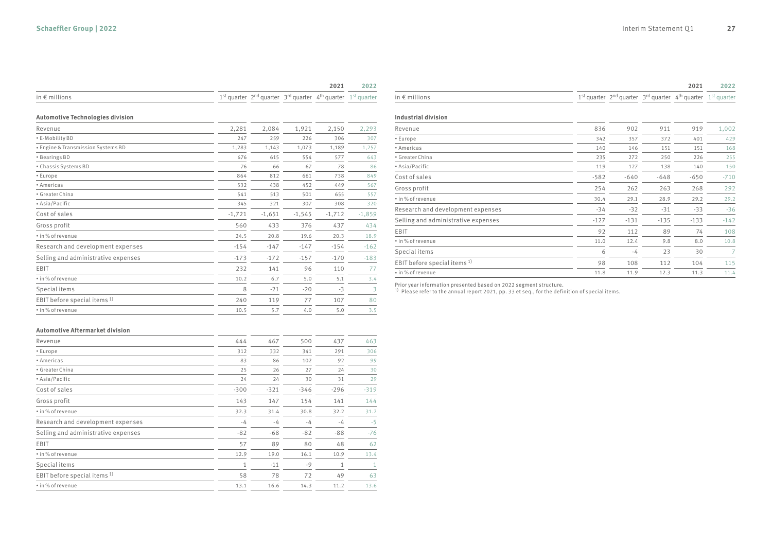|                                               |          |          |          | 2021                                                                  | 2022     |                                          |
|-----------------------------------------------|----------|----------|----------|-----------------------------------------------------------------------|----------|------------------------------------------|
| in $\epsilon$ millions                        |          |          |          | $1st$ quarter $2nd$ quarter $3rd$ quarter $4th$ quarter $1st$ quarter |          | in $\notin$ millior                      |
| <b>Automotive Technologies division</b>       |          |          |          |                                                                       |          | Industrial                               |
| Revenue                                       | 2,281    | 2,084    | 1,921    | 2,150                                                                 | 2,293    | Revenue                                  |
| · E-Mobility BD                               | 247      | 259      | 226      | 306                                                                   | 307      | • Europe                                 |
| <b>* Engine &amp; Transmission Systems BD</b> | 1,283    | 1,143    | 1,073    | 1,189                                                                 | 1,257    | • Americas                               |
| • Bearings BD                                 | 676      | 615      | 554      | 577                                                                   | 643      | • Greater Ch                             |
| • Chassis Systems BD                          | 76       | 66       | 67       | 78                                                                    | 86       | • Asia/Pacif                             |
| • Europe                                      | 864      | 812      | 661      | 738                                                                   | 849      | Cost of sal                              |
| • Americas                                    | 532      | 438      | 452      | 449                                                                   | 567      | Gross prof                               |
| · Greater China                               | 541      | 513      | 501      | 655                                                                   | 557      | · in% of reve                            |
| • Asia/Pacific                                | 345      | 321      | 307      | 308                                                                   | 320      | Research a                               |
| Cost of sales                                 | $-1,721$ | $-1,651$ | $-1,545$ | $-1,712$                                                              | $-1,859$ |                                          |
| Gross profit                                  | 560      | 433      | 376      | 437                                                                   | 434      | Selling and                              |
| · in% of revenue                              | 24.5     | 20.8     | 19.6     | 20.3                                                                  | 18.9     | EBIT<br>· in% of reve                    |
| Research and development expenses             | $-154$   | $-147$   | $-147$   | $-154$                                                                | $-162$   | Special ite                              |
| Selling and administrative expenses           | $-173$   | $-172$   | $-157$   | $-170$                                                                | $-183$   |                                          |
| EBIT                                          | 232      | 141      | 96       | 110                                                                   | 77       | EBIT befor                               |
| • in % of revenue                             | 10.2     | 6.7      | 5.0      | 5.1                                                                   | 3.4      | · in% of reve                            |
| Special items                                 | 8        | $-21$    | $-20$    | $-3$                                                                  | 3        | Prior year in<br><sup>1)</sup> Please re |
| EBIT before special items <sup>1)</sup>       | 240      | 119      | 77       | 107                                                                   | 80       |                                          |
| • in % of revenue                             | 10.5     | 5.7      | 4.0      | 5.0                                                                   | 3.5      |                                          |
| <b>Automotive Aftermarket division</b>        |          |          |          |                                                                       |          |                                          |
| Revenue                                       | 444      | 467      | 500      | 437                                                                   | 463      |                                          |
| • Europe                                      | 312      | 332      | 341      | 291                                                                   | 306      |                                          |
| • Americas                                    | 83       | 86       | 102      | 92                                                                    | 99       |                                          |
| · Greater China                               | 25       | 26       | 27       | 24                                                                    | 30       |                                          |
| • Asia/Pacific                                | 24       | 24       | 30       | 31                                                                    | 29       |                                          |
| Cost of sales                                 | $-300$   | $-321$   | $-346$   | $-296$                                                                | $-319$   |                                          |
| Gross profit                                  | 143      | 147      | 154      | 141                                                                   | 144      |                                          |
| • in % of revenue                             | 32.3     | 31.4     | 30.8     | 32.2                                                                  | 31.2     |                                          |
| Research and development expenses             | $-4$     | $-4$     | $-4$     | $-4$                                                                  | $-5$     |                                          |
| Selling and administrative expenses           | $-82$    | $-68$    | $-82$    | $-88$                                                                 | $-76$    |                                          |
| EBIT                                          | 57       | 89       | 80       | 48                                                                    | 62       |                                          |
| • in % of revenue                             | 12.9     | 19.0     | 16.1     | 10.9                                                                  | 13.4     |                                          |

 $Special items$  1  $-11$   $-9$  1 1 EBIT before special items <sup>1)</sup><br>  $\cdot$  in% of revenue<br>  $\cdot$  in% of revenue<br>  $\cdot$  58  $\overline{\hspace{1cm}}$  78  $\overline{\hspace{1cm}}$  72  $\overline{\hspace{1cm}}$  49  $\overline{\hspace{1cm}}$  63<br>  $\cdot$  11.2  $\overline{\hspace{1cm}}$  11.2 • in % of revenue 13.1  $\frac{1}{13.1}$  16.6  $\frac{14.3}{14.3}$  11.2

|                        |                                                                       | 2021 | 2022 |
|------------------------|-----------------------------------------------------------------------|------|------|
| in $\epsilon$ millions | $1st$ quarter $2nd$ quarter $3rd$ quarter $4th$ quarter $1st$ quarter |      |      |

#### **Industrial division**

| Revenue                                 | 836    | 902    | 911    | 919    | 1,002  |
|-----------------------------------------|--------|--------|--------|--------|--------|
| • Europe                                | 342    | 357    | 372    | 401    | 429    |
| • Americas                              | 140    | 146    | 151    | 151    | 168    |
| • Greater China                         | 235    | 272    | 250    | 226    | 255    |
| • Asia/Pacific                          | 119    | 127    | 138    | 140    | 150    |
| Cost of sales                           | $-582$ | $-640$ | $-648$ | $-650$ | $-710$ |
| Gross profit                            | 254    | 262    | 263    | 268    | 292    |
| · in % of revenue                       | 30.4   | 29.1   | 28.9   | 29.2   | 29.2   |
| Research and development expenses       | $-34$  | $-32$  | $-31$  | $-33$  | $-36$  |
| Selling and administrative expenses     | $-127$ | $-131$ | $-135$ | $-133$ | $-142$ |
| EBIT                                    | 92     | 112    | 89     | 74     | 108    |
| • in % of revenue                       | 11.0   | 12.4   | 9.8    | 8.0    | 10.8   |
| Special items                           | 6      | $-4$   | 23     | 30     | 7      |
| EBIT before special items <sup>1)</sup> | 98     | 108    | 112    | 104    | 115    |
| · in % of revenue                       | 11.8   | 11.9   | 12.3   | 11.3   | 11.4   |

Prior year information presented based on 2022 segment structure. 1) Please refer to the annual report 2021, pp. 33 et seq., for the definition of special items.